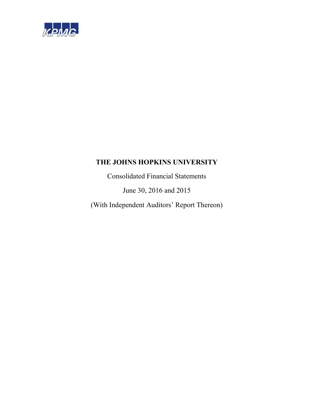

Consolidated Financial Statements

June 30, 2016 and 2015

(With Independent Auditors' Report Thereon)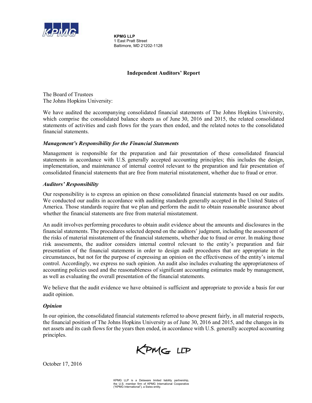

**KPMG LLP**  1 East Pratt Street Baltimore, MD 21202-1128

# **Independent Auditors' Report**

The Board of Trustees The Johns Hopkins University:

We have audited the accompanying consolidated financial statements of The Johns Hopkins University, which comprise the consolidated balance sheets as of June 30, 2016 and 2015, the related consolidated statements of activities and cash flows for the years then ended, and the related notes to the consolidated financial statements.

# *Management's Responsibility for the Financial Statements*

Management is responsible for the preparation and fair presentation of these consolidated financial statements in accordance with U.S. generally accepted accounting principles; this includes the design, implementation, and maintenance of internal control relevant to the preparation and fair presentation of consolidated financial statements that are free from material misstatement, whether due to fraud or error.

# *Auditors' Responsibility*

Our responsibility is to express an opinion on these consolidated financial statements based on our audits. We conducted our audits in accordance with auditing standards generally accepted in the United States of America. Those standards require that we plan and perform the audit to obtain reasonable assurance about whether the financial statements are free from material misstatement.

An audit involves performing procedures to obtain audit evidence about the amounts and disclosures in the financial statements. The procedures selected depend on the auditors' judgment, including the assessment of the risks of material misstatement of the financial statements, whether due to fraud or error. In making those risk assessments, the auditor considers internal control relevant to the entity's preparation and fair presentation of the financial statements in order to design audit procedures that are appropriate in the circumstances, but not for the purpose of expressing an opinion on the effectiveness of the entity's internal control. Accordingly, we express no such opinion. An audit also includes evaluating the appropriateness of accounting policies used and the reasonableness of significant accounting estimates made by management, as well as evaluating the overall presentation of the financial statements.

We believe that the audit evidence we have obtained is sufficient and appropriate to provide a basis for our audit opinion.

# *Opinion*

In our opinion, the consolidated financial statements referred to above present fairly, in all material respects, the financial position of The Johns Hopkins University as of June 30, 2016 and 2015, and the changes in its net assets and its cash flows for the years then ended, in accordance with U.S. generally accepted accounting principles.

KPMG LLP

October 17, 2016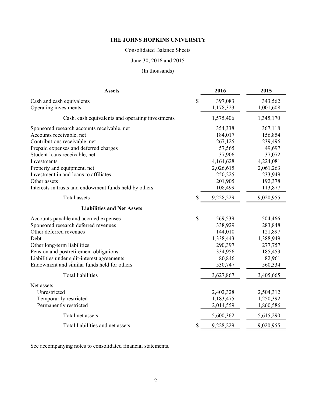# Consolidated Balance Sheets

# June 30, 2016 and 2015

# (In thousands)

| <b>Assets</b>                                          | 2016                       | 2015                 |
|--------------------------------------------------------|----------------------------|----------------------|
| Cash and cash equivalents<br>Operating investments     | \$<br>397,083<br>1,178,323 | 343,562<br>1,001,608 |
| Cash, cash equivalents and operating investments       | 1,575,406                  | 1,345,170            |
| Sponsored research accounts receivable, net            | 354,338                    | 367,118              |
| Accounts receivable, net                               | 184,017                    | 156,854              |
| Contributions receivable, net                          | 267,125                    | 239,496              |
| Prepaid expenses and deferred charges                  | 57,565                     | 49,697               |
| Student loans receivable, net                          | 37,906                     | 37,072               |
| Investments                                            | 4,164,628                  | 4,224,081            |
| Property and equipment, net                            | 2,026,615                  | 2,061,263            |
| Investment in and loans to affiliates                  | 250,225                    | 233,949              |
| Other assets                                           | 201,905                    | 192,378              |
| Interests in trusts and endowment funds held by others | 108,499                    | 113,877              |
| Total assets                                           | \$<br>9,228,229            | 9,020,955            |
| <b>Liabilities and Net Assets</b>                      |                            |                      |
| Accounts payable and accrued expenses                  | \$<br>569,539              | 504,466              |
| Sponsored research deferred revenues                   | 338,929                    | 283,848              |
| Other deferred revenues                                | 144,010                    | 121,897              |
| Debt                                                   | 1,338,443                  | 1,388,949            |
| Other long-term liabilities                            | 290,397                    | 277,757              |
| Pension and postretirement obligations                 | 334,956                    | 185,453              |
| Liabilities under split-interest agreements            | 80,846                     | 82,961               |
| Endowment and similar funds held for others            | 530,747                    | 560,334              |
| <b>Total liabilities</b>                               | 3,627,867                  | 3,405,665            |
| Net assets:                                            |                            |                      |
| Unrestricted                                           | 2,402,328                  | 2,504,312            |
| Temporarily restricted                                 | 1,183,475                  | 1,250,392            |
| Permanently restricted                                 | 2,014,559                  | 1,860,586            |
| Total net assets                                       | 5,600,362                  | 5,615,290            |
| Total liabilities and net assets                       | \$<br>9,228,229            | 9,020,955            |

See accompanying notes to consolidated financial statements.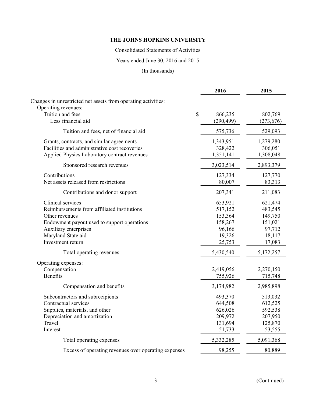Consolidated Statements of Activities

# Years ended June 30, 2016 and 2015

# (In thousands)

|                                                                                      |             | 2016       | 2015       |
|--------------------------------------------------------------------------------------|-------------|------------|------------|
| Changes in unrestricted net assets from operating activities:<br>Operating revenues: |             |            |            |
| Tuition and fees                                                                     | $\mathbf S$ | 866,235    | 802,769    |
| Less financial aid                                                                   |             | (290, 499) | (273, 676) |
| Tuition and fees, net of financial aid                                               |             | 575,736    | 529,093    |
| Grants, contracts, and similar agreements                                            |             | 1,343,951  | 1,279,280  |
| Facilities and administrative cost recoveries                                        |             | 328,422    | 306,051    |
| Applied Physics Laboratory contract revenues                                         |             | 1,351,141  | 1,308,048  |
| Sponsored research revenues                                                          |             | 3,023,514  | 2,893,379  |
| Contributions                                                                        |             | 127,334    | 127,770    |
| Net assets released from restrictions                                                |             | 80,007     | 83,313     |
| Contributions and donor support                                                      |             | 207,341    | 211,083    |
| Clinical services                                                                    |             | 653,921    | 621,474    |
| Reimbursements from affiliated institutions                                          |             | 517,152    | 483,545    |
| Other revenues                                                                       |             | 153,364    | 149,750    |
| Endowment payout used to support operations                                          |             | 158,267    | 151,021    |
| Auxiliary enterprises                                                                |             | 96,166     | 97,712     |
| Maryland State aid                                                                   |             | 19,326     | 18,117     |
| Investment return                                                                    |             | 25,753     | 17,083     |
| Total operating revenues                                                             |             | 5,430,540  | 5,172,257  |
| Operating expenses:                                                                  |             |            |            |
| Compensation                                                                         |             | 2,419,056  | 2,270,150  |
| <b>Benefits</b>                                                                      |             | 755,926    | 715,748    |
| Compensation and benefits                                                            |             | 3,174,982  | 2,985,898  |
| Subcontractors and subrecipients                                                     |             | 493,370    | 513,032    |
| Contractual services                                                                 |             | 644,508    | 612,525    |
| Supplies, materials, and other                                                       |             | 626,026    | 592,538    |
| Depreciation and amortization                                                        |             | 209,972    | 207,950    |
| Travel                                                                               |             | 131,694    | 125,870    |
| Interest                                                                             |             | 51,733     | 53,555     |
| Total operating expenses                                                             |             | 5,332,285  | 5,091,368  |
| Excess of operating revenues over operating expenses                                 |             | 98,255     | 80,889     |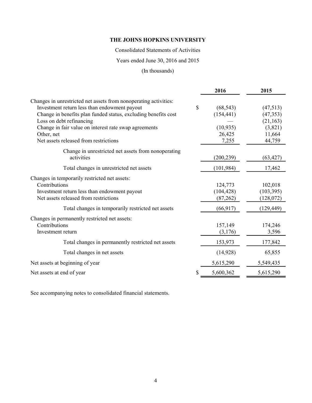Consolidated Statements of Activities

# Years ended June 30, 2016 and 2015

# (In thousands)

|                                                                  | 2016            | 2015       |
|------------------------------------------------------------------|-----------------|------------|
| Changes in unrestricted net assets from nonoperating activities: |                 |            |
| Investment return less than endowment payout                     | \$<br>(68, 543) | (47,513)   |
| Change in benefits plan funded status, excluding benefits cost   | (154, 441)      | (47, 353)  |
| Loss on debt refinancing                                         |                 | (21, 163)  |
| Change in fair value on interest rate swap agreements            | (10, 935)       | (3,821)    |
| Other, net                                                       | 26,425          | 11,664     |
| Net assets released from restrictions                            | 7,255           | 44,759     |
| Change in unrestricted net assets from nonoperating              |                 |            |
| activities                                                       | (200, 239)      | (63, 427)  |
| Total changes in unrestricted net assets                         | (101, 984)      | 17,462     |
| Changes in temporarily restricted net assets:                    |                 |            |
| Contributions                                                    | 124,773         | 102,018    |
| Investment return less than endowment payout                     | (104, 428)      | (103, 395) |
| Net assets released from restrictions                            | (87,262)        | (128,072)  |
| Total changes in temporarily restricted net assets               | (66, 917)       | (129, 449) |
| Changes in permanently restricted net assets:                    |                 |            |
| Contributions                                                    | 157,149         | 174,246    |
| Investment return                                                | (3,176)         | 3,596      |
| Total changes in permanently restricted net assets               | 153,973         | 177,842    |
| Total changes in net assets                                      | (14, 928)       | 65,855     |
| Net assets at beginning of year                                  | 5,615,290       | 5,549,435  |
| Net assets at end of year                                        | \$<br>5,600,362 | 5,615,290  |

See accompanying notes to consolidated financial statements.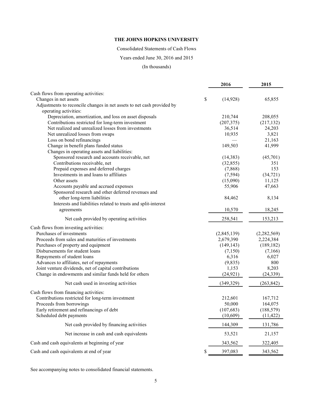### Consolidated Statements of Cash Flows

# Years ended June 30, 2016 and 2015

# (In thousands)

|                                                                        | 2016            | 2015        |
|------------------------------------------------------------------------|-----------------|-------------|
| Cash flows from operating activities:                                  |                 |             |
| Changes in net assets                                                  | \$<br>(14, 928) | 65,855      |
| Adjustments to reconcile changes in net assets to net cash provided by |                 |             |
| operating activities:                                                  |                 |             |
| Depreciation, amortization, and loss on asset disposals                | 210,744         | 208,055     |
| Contributions restricted for long-term investment                      | (207, 375)      | (217, 132)  |
| Net realized and unrealized losses from investments                    | 36,514          | 24,203      |
| Net unrealized losses from swaps                                       | 10,935          | 3,821       |
| Loss on bond refinancings                                              |                 | 21,163      |
| Change in benefit plans funded status                                  | 149,503         | 41,999      |
| Changes in operating assets and liabilities:                           |                 |             |
| Sponsored research and accounts receivable, net                        | (14,383)        | (45,701)    |
| Contributions receivable, net                                          | (32, 855)       | 351         |
| Prepaid expenses and deferred charges                                  | (7,868)         | 153         |
| Investments in and loans to affiliates                                 | (7, 594)        | (34, 721)   |
| Other assets                                                           | (15,090)        | 11,125      |
| Accounts payable and accrued expenses                                  | 55,906          | 47,663      |
| Sponsored research and other deferred revenues and                     |                 |             |
| other long-term liabilities                                            | 84,462          | 8,134       |
| Interests and liabilities related to trusts and split-interest         |                 |             |
| agreements                                                             | 10,570          | 18,245      |
| Net cash provided by operating activities                              | 258,541         | 153,213     |
| Cash flows from investing activities:                                  |                 |             |
| Purchases of investments                                               | (2,845,139)     | (2,282,569) |
| Proceeds from sales and maturities of investments                      | 2,679,390       | 2,224,384   |
| Purchases of property and equipment                                    | (149, 143)      | (189, 182)  |
| Disbursements for student loans                                        | (7,150)         | (7,166)     |
| Repayments of student loans                                            | 6,316           | 6,027       |
| Advances to affiliates, net of repayments                              | (9,835)         | 800         |
| Joint venture dividends, net of capital contributions                  | 1,153           | 8,203       |
| Change in endowments and similar funds held for others                 | (24, 921)       | (24, 339)   |
| Net cash used in investing activities                                  | (349, 329)      | (263, 842)  |
| Cash flows from financing activities:                                  |                 |             |
| Contributions restricted for long-term investment                      | 212,601         | 167,712     |
| Proceeds from borrowings                                               | 50,000          | 164,075     |
| Early retirement and refinancings of debt                              | (107, 683)      | (188, 579)  |
| Scheduled debt payments                                                | (10,609)        | (11, 422)   |
| Net cash provided by financing activities                              | 144,309         | 131,786     |
| Net increase in cash and cash equivalents                              | 53,521          | 21,157      |
| Cash and cash equivalents at beginning of year                         | 343,562         | 322,405     |
| Cash and cash equivalents at end of year                               | \$<br>397,083   | 343,562     |

See accompanying notes to consolidated financial statements.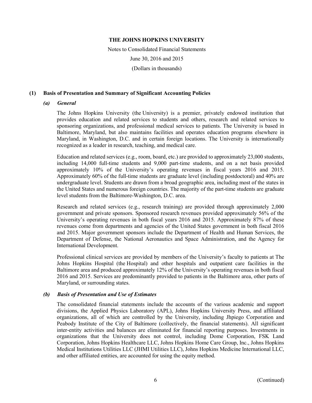Notes to Consolidated Financial Statements June 30, 2016 and 2015 (Dollars in thousands)

#### **(1) Basis of Presentation and Summary of Significant Accounting Policies**

#### *(a) General*

The Johns Hopkins University (the University) is a premier, privately endowed institution that provides education and related services to students and others, research and related services to sponsoring organizations, and professional medical services to patients. The University is based in Baltimore, Maryland, but also maintains facilities and operates education programs elsewhere in Maryland, in Washington, D.C. and in certain foreign locations. The University is internationally recognized as a leader in research, teaching, and medical care.

Education and related services (e.g., room, board, etc.) are provided to approximately 23,000 students, including 14,000 full-time students and 9,000 part-time students, and on a net basis provided approximately 10% of the University's operating revenues in fiscal years 2016 and 2015. Approximately 60% of the full-time students are graduate level (including postdoctoral) and 40% are undergraduate level. Students are drawn from a broad geographic area, including most of the states in the United States and numerous foreign countries. The majority of the part-time students are graduate level students from the Baltimore-Washington, D.C. area.

Research and related services (e.g., research training) are provided through approximately 2,000 government and private sponsors. Sponsored research revenues provided approximately 56% of the University's operating revenues in both fiscal years 2016 and 2015. Approximately 87% of these revenues come from departments and agencies of the United States government in both fiscal 2016 and 2015. Major government sponsors include the Department of Health and Human Services, the Department of Defense, the National Aeronautics and Space Administration, and the Agency for International Development.

Professional clinical services are provided by members of the University's faculty to patients at The Johns Hopkins Hospital (the Hospital) and other hospitals and outpatient care facilities in the Baltimore area and produced approximately 12% of the University's operating revenues in both fiscal 2016 and 2015. Services are predominantly provided to patients in the Baltimore area, other parts of Maryland, or surrounding states.

# *(b) Basis of Presentation and Use of Estimates*

The consolidated financial statements include the accounts of the various academic and support divisions, the Applied Physics Laboratory (APL), Johns Hopkins University Press, and affiliated organizations, all of which are controlled by the University, including Jhpiego Corporation and Peabody Institute of the City of Baltimore (collectively, the financial statements). All significant inter-entity activities and balances are eliminated for financial reporting purposes. Investments in organizations that the University does not control, including Dome Corporation, FSK Land Corporation, Johns Hopkins Healthcare LLC, Johns Hopkins Home Care Group, Inc., Johns Hopkins Medical Institutions Utilities LLC (JHMI Utilities LLC), Johns Hopkins Medicine International LLC, and other affiliated entities, are accounted for using the equity method.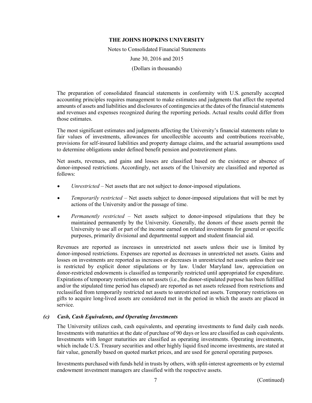Notes to Consolidated Financial Statements June 30, 2016 and 2015

(Dollars in thousands)

The preparation of consolidated financial statements in conformity with U.S. generally accepted accounting principles requires management to make estimates and judgments that affect the reported amounts of assets and liabilities and disclosures of contingencies at the dates of the financial statements and revenues and expenses recognized during the reporting periods. Actual results could differ from those estimates.

The most significant estimates and judgments affecting the University's financial statements relate to fair values of investments, allowances for uncollectible accounts and contributions receivable, provisions for self-insured liabilities and property damage claims, and the actuarial assumptions used to determine obligations under defined benefit pension and postretirement plans.

Net assets, revenues, and gains and losses are classified based on the existence or absence of donor-imposed restrictions. Accordingly, net assets of the University are classified and reported as follows:

- *Unrestricted* Net assets that are not subject to donor-imposed stipulations.
- *Temporarily restricted* Net assets subject to donor-imposed stipulations that will be met by actions of the University and/or the passage of time.
- *Permanently restricted* Net assets subject to donor-imposed stipulations that they be maintained permanently by the University. Generally, the donors of these assets permit the University to use all or part of the income earned on related investments for general or specific purposes, primarily divisional and departmental support and student financial aid.

Revenues are reported as increases in unrestricted net assets unless their use is limited by donor-imposed restrictions. Expenses are reported as decreases in unrestricted net assets. Gains and losses on investments are reported as increases or decreases in unrestricted net assets unless their use is restricted by explicit donor stipulations or by law. Under Maryland law, appreciation on donor-restricted endowments is classified as temporarily restricted until appropriated for expenditure. Expirations of temporary restrictions on net assets (i.e., the donor-stipulated purpose has been fulfilled and/or the stipulated time period has elapsed) are reported as net assets released from restrictions and reclassified from temporarily restricted net assets to unrestricted net assets. Temporary restrictions on gifts to acquire long-lived assets are considered met in the period in which the assets are placed in service.

# *(c) Cash, Cash Equivalents, and Operating Investments*

The University utilizes cash, cash equivalents, and operating investments to fund daily cash needs. Investments with maturities at the date of purchase of 90 days or less are classified as cash equivalents. Investments with longer maturities are classified as operating investments. Operating investments, which include U.S. Treasury securities and other highly liquid fixed income investments, are stated at fair value, generally based on quoted market prices, and are used for general operating purposes.

Investments purchased with funds held in trusts by others, with split-interest agreements or by external endowment investment managers are classified with the respective assets.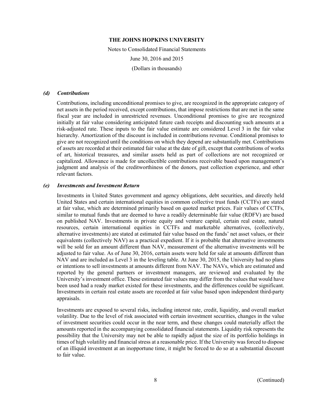Notes to Consolidated Financial Statements June 30, 2016 and 2015 (Dollars in thousands)

#### *(d) Contributions*

Contributions, including unconditional promises to give, are recognized in the appropriate category of net assets in the period received, except contributions, that impose restrictions that are met in the same fiscal year are included in unrestricted revenues. Unconditional promises to give are recognized initially at fair value considering anticipated future cash receipts and discounting such amounts at a risk-adjusted rate. These inputs to the fair value estimate are considered Level 3 in the fair value hierarchy. Amortization of the discount is included in contributions revenue. Conditional promises to give are not recognized until the conditions on which they depend are substantially met. Contributions of assets are recorded at their estimated fair value at the date of gift, except that contributions of works of art, historical treasures, and similar assets held as part of collections are not recognized or capitalized. Allowance is made for uncollectible contributions receivable based upon management's judgment and analysis of the creditworthiness of the donors, past collection experience, and other relevant factors.

#### *(e) Investments and Investment Return*

Investments in United States government and agency obligations, debt securities, and directly held United States and certain international equities in common collective trust funds (CCTFs) are stated at fair value, which are determined primarily based on quoted market prices. Fair values of CCTFs, similar to mutual funds that are deemed to have a readily determinable fair value (RDFV) are based on published NAV. Investments in private equity and venture capital, certain real estate, natural resources, certain international equities in CCTFs and marketable alternatives, (collectively, alternative investments) are stated at estimated fair value based on the funds' net asset values, or their equivalents (collectively NAV) as a practical expedient. If it is probable that alternative investments will be sold for an amount different than NAV, measurement of the alternative investments will be adjusted to fair value. As of June 30, 2016, certain assets were held for sale at amounts different than NAV and are included as Level 3 in the leveling table. At June 30, 2015, the University had no plans or intentions to sell investments at amounts different from NAV. The NAVs, which are estimated and reported by the general partners or investment managers, are reviewed and evaluated by the University's investment office. These estimated fair values may differ from the values that would have been used had a ready market existed for these investments, and the differences could be significant. Investments in certain real estate assets are recorded at fair value based upon independent third-party appraisals.

Investments are exposed to several risks, including interest rate, credit, liquidity, and overall market volatility. Due to the level of risk associated with certain investment securities, changes in the value of investment securities could occur in the near term, and these changes could materially affect the amounts reported in the accompanying consolidated financial statements. Liquidity risk represents the possibility that the University may not be able to rapidly adjust the size of its portfolio holdings in times of high volatility and financial stress at a reasonable price. If the University was forced to dispose of an illiquid investment at an inopportune time, it might be forced to do so at a substantial discount to fair value.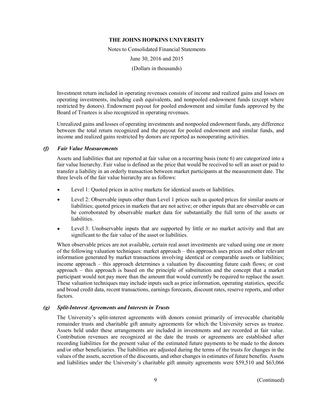Notes to Consolidated Financial Statements June 30, 2016 and 2015 (Dollars in thousands)

Investment return included in operating revenues consists of income and realized gains and losses on operating investments, including cash equivalents, and nonpooled endowment funds (except where restricted by donors). Endowment payout for pooled endowment and similar funds approved by the Board of Trustees is also recognized in operating revenues.

Unrealized gains and losses of operating investments and nonpooled endowment funds, any difference between the total return recognized and the payout for pooled endowment and similar funds, and income and realized gains restricted by donors are reported as nonoperating activities.

### *(f) Fair Value Measurements*

Assets and liabilities that are reported at fair value on a recurring basis (note 6) are categorized into a fair value hierarchy. Fair value is defined as the price that would be received to sell an asset or paid to transfer a liability in an orderly transaction between market participants at the measurement date. The three levels of the fair value hierarchy are as follows:

- Level 1: Quoted prices in active markets for identical assets or liabilities.
- Level 2: Observable inputs other than Level 1 prices such as quoted prices for similar assets or liabilities; quoted prices in markets that are not active; or other inputs that are observable or can be corroborated by observable market data for substantially the full term of the assets or liabilities.
- Level 3: Unobservable inputs that are supported by little or no market activity and that are  $\bullet$ significant to the fair value of the asset or liabilities.

When observable prices are not available, certain real asset investments are valued using one or more of the following valuation techniques: market approach – this approach uses prices and other relevant information generated by market transactions involving identical or comparable assets or liabilities; income approach – this approach determines a valuation by discounting future cash flows; or cost approach – this approach is based on the principle of substitution and the concept that a market participant would not pay more than the amount that would currently be required to replace the asset. These valuation techniques may include inputs such as price information, operating statistics, specific and broad credit data, recent transactions, earnings forecasts, discount rates, reserve reports, and other factors.

# *(g) Split-Interest Agreements and Interests in Trusts*

The University's split-interest agreements with donors consist primarily of irrevocable charitable remainder trusts and charitable gift annuity agreements for which the University serves as trustee. Assets held under these arrangements are included in investments and are recorded at fair value. Contribution revenues are recognized at the date the trusts or agreements are established after recording liabilities for the present value of the estimated future payments to be made to the donors and/or other beneficiaries. The liabilities are adjusted during the terms of the trusts for changes in the values of the assets, accretion of the discounts, and other changes in estimates of future benefits. Assets and liabilities under the University's charitable gift annuity agreements were \$59,510 and \$63,066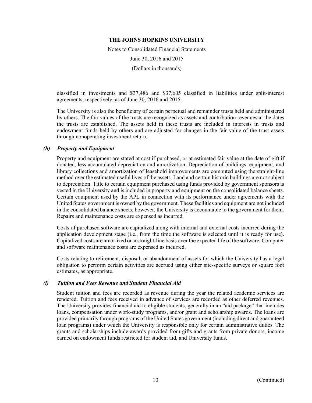Notes to Consolidated Financial Statements June 30, 2016 and 2015 (Dollars in thousands)

classified in investments and \$37,486 and \$37,605 classified in liabilities under split-interest agreements, respectively, as of June 30, 2016 and 2015.

The University is also the beneficiary of certain perpetual and remainder trusts held and administered by others. The fair values of the trusts are recognized as assets and contribution revenues at the dates the trusts are established. The assets held in these trusts are included in interests in trusts and endowment funds held by others and are adjusted for changes in the fair value of the trust assets through nonoperating investment return.

### *(h) Property and Equipment*

Property and equipment are stated at cost if purchased, or at estimated fair value at the date of gift if donated, less accumulated depreciation and amortization. Depreciation of buildings, equipment, and library collections and amortization of leasehold improvements are computed using the straight-line method over the estimated useful lives of the assets. Land and certain historic buildings are not subject to depreciation. Title to certain equipment purchased using funds provided by government sponsors is vested in the University and is included in property and equipment on the consolidated balance sheets. Certain equipment used by the APL in connection with its performance under agreements with the United States government is owned by the government. These facilities and equipment are not included in the consolidated balance sheets; however, the University is accountable to the government for them. Repairs and maintenance costs are expensed as incurred.

Costs of purchased software are capitalized along with internal and external costs incurred during the application development stage (i.e., from the time the software is selected until it is ready for use). Capitalized costs are amortized on a straight-line basis over the expected life of the software. Computer and software maintenance costs are expensed as incurred.

Costs relating to retirement, disposal, or abandonment of assets for which the University has a legal obligation to perform certain activities are accrued using either site-specific surveys or square foot estimates, as appropriate.

# *(i) Tuition and Fees Revenue and Student Financial Aid*

Student tuition and fees are recorded as revenue during the year the related academic services are rendered. Tuition and fees received in advance of services are recorded as other deferred revenues. The University provides financial aid to eligible students, generally in an "aid package" that includes loans, compensation under work-study programs, and/or grant and scholarship awards. The loans are provided primarily through programs of the United States government (including direct and guaranteed loan programs) under which the University is responsible only for certain administrative duties. The grants and scholarships include awards provided from gifts and grants from private donors, income earned on endowment funds restricted for student aid, and University funds.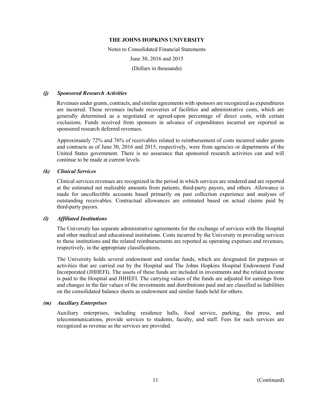Notes to Consolidated Financial Statements June 30, 2016 and 2015 (Dollars in thousands)

#### *(j) Sponsored Research Activities*

Revenues under grants, contracts, and similar agreements with sponsors are recognized as expenditures are incurred. These revenues include recoveries of facilities and administrative costs, which are generally determined as a negotiated or agreed-upon percentage of direct costs, with certain exclusions. Funds received from sponsors in advance of expenditures incurred are reported as sponsored research deferred revenues.

Approximately 72% and 76% of receivables related to reimbursement of costs incurred under grants and contracts as of June 30, 2016 and 2015, respectively, were from agencies or departments of the United States government. There is no assurance that sponsored research activities can and will continue to be made at current levels.

### *(k) Clinical Services*

Clinical services revenues are recognized in the period in which services are rendered and are reported at the estimated net realizable amounts from patients, third-party payors, and others. Allowance is made for uncollectible accounts based primarily on past collection experience and analyses of outstanding receivables. Contractual allowances are estimated based on actual claims paid by third-party payors.

# *(l) Affiliated Institutions*

The University has separate administrative agreements for the exchange of services with the Hospital and other medical and educational institutions. Costs incurred by the University in providing services to these institutions and the related reimbursements are reported as operating expenses and revenues, respectively, in the appropriate classifications.

The University holds several endowment and similar funds, which are designated for purposes or activities that are carried out by the Hospital and The Johns Hopkins Hospital Endowment Fund Incorporated (JHHEFI). The assets of these funds are included in investments and the related income is paid to the Hospital and JHHEFI. The carrying values of the funds are adjusted for earnings from and changes in the fair values of the investments and distributions paid and are classified as liabilities on the consolidated balance sheets as endowment and similar funds held for others.

#### *(m) Auxiliary Enterprises*

Auxiliary enterprises, including residence halls, food service, parking, the press, and telecommunications, provide services to students, faculty, and staff. Fees for such services are recognized as revenue as the services are provided.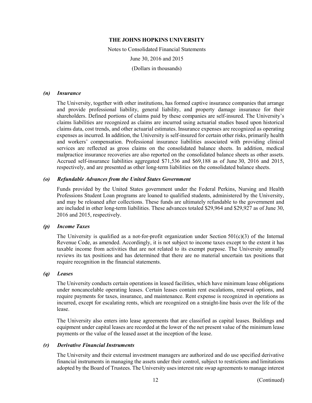Notes to Consolidated Financial Statements June 30, 2016 and 2015 (Dollars in thousands)

#### *(n) Insurance*

The University, together with other institutions, has formed captive insurance companies that arrange and provide professional liability, general liability, and property damage insurance for their shareholders. Defined portions of claims paid by these companies are self-insured. The University's claims liabilities are recognized as claims are incurred using actuarial studies based upon historical claims data, cost trends, and other actuarial estimates. Insurance expenses are recognized as operating expenses as incurred. In addition, the University is self-insured for certain other risks, primarily health and workers' compensation. Professional insurance liabilities associated with providing clinical services are reflected as gross claims on the consolidated balance sheets. In addition, medical malpractice insurance recoveries are also reported on the consolidated balance sheets as other assets. Accrued self-insurance liabilities aggregated \$71,536 and \$69,188 as of June 30, 2016 and 2015, respectively, and are presented as other long-term liabilities on the consolidated balance sheets.

## *(o) Refundable Advances from the United States Government*

Funds provided by the United States government under the Federal Perkins, Nursing and Health Professions Student Loan programs are loaned to qualified students, administered by the University, and may be reloaned after collections. These funds are ultimately refundable to the government and are included in other long-term liabilities. These advances totaled \$29,964 and \$29,927 as of June 30, 2016 and 2015, respectively.

## *(p) Income Taxes*

The University is qualified as a not-for-profit organization under Section  $501(c)(3)$  of the Internal Revenue Code, as amended. Accordingly, it is not subject to income taxes except to the extent it has taxable income from activities that are not related to its exempt purpose. The University annually reviews its tax positions and has determined that there are no material uncertain tax positions that require recognition in the financial statements.

#### *(q) Leases*

The University conducts certain operations in leased facilities, which have minimum lease obligations under noncancelable operating leases. Certain leases contain rent escalations, renewal options, and require payments for taxes, insurance, and maintenance. Rent expense is recognized in operations as incurred, except for escalating rents, which are recognized on a straight-line basis over the life of the lease.

The University also enters into lease agreements that are classified as capital leases. Buildings and equipment under capital leases are recorded at the lower of the net present value of the minimum lease payments or the value of the leased asset at the inception of the lease.

#### *(r) Derivative Financial Instruments*

The University and their external investment managers are authorized and do use specified derivative financial instruments in managing the assets under their control, subject to restrictions and limitations adopted by the Board of Trustees. The University uses interest rate swap agreements to manage interest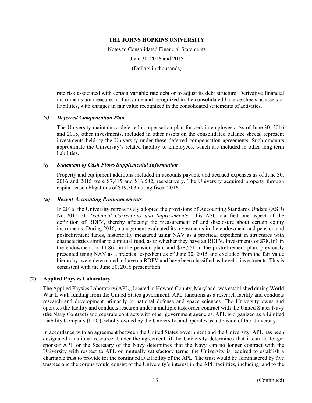Notes to Consolidated Financial Statements

June 30, 2016 and 2015

(Dollars in thousands)

rate risk associated with certain variable rate debt or to adjust its debt structure. Derivative financial instruments are measured at fair value and recognized in the consolidated balance sheets as assets or liabilities, with changes in fair value recognized in the consolidated statements of activities.

#### *(s) Deferred Compensation Plan*

The University maintains a deferred compensation plan for certain employees. As of June 30, 2016 and 2015, other investments, included in other assets on the consolidated balance sheets, represent investments held by the University under these deferred compensation agreements. Such amounts approximate the University's related liability to employees, which are included in other long-term liabilities.

### *(t) Statement of Cash Flows Supplemental Information*

Property and equipment additions included in accounts payable and accrued expenses as of June 30, 2016 and 2015 were \$7,415 and \$16,582, respectively. The University acquired property through capital lease obligations of \$19,503 during fiscal 2016.

#### *(u) Recent Accounting Pronouncements*

In 2016, the University retroactively adopted the provisions of Accounting Standards Update (ASU) No. 2015-10, *Technical Corrections and Improvements*. This ASU clarified one aspect of the definition of RDFV, thereby affecting the measurement of and disclosure about certain equity instruments. During 2016, management evaluated its investments in the endowment and pension and postretirement funds, historically measured using NAV as a practical expedient in structures with characteristics similar to a mutual fund, as to whether they have an RDFV. Investments of \$78,161 in the endowment, \$111,861 in the pension plan, and \$78,551 in the postretirement plan, previously presented using NAV as a practical expedient as of June 30, 2015 and excluded from the fair value hierarchy, were determined to have an RDFV and have been classified as Level 1 investments. This is consistent with the June 30, 2016 presentation.

#### **(2) Applied Physics Laboratory**

The Applied Physics Laboratory (APL), located in Howard County, Maryland, was established during World War II with funding from the United States government. APL functions as a research facility and conducts research and development primarily in national defense and space sciences. The University owns and operates the facility and conducts research under a multiple task order contract with the United States Navy (the Navy Contract) and separate contracts with other government agencies. APL is organized as a Limited Liability Company (LLC), wholly owned by the University, and operates as a division of the University.

In accordance with an agreement between the United States government and the University, APL has been designated a national resource. Under the agreement, if the University determines that it can no longer sponsor APL or the Secretary of the Navy determines that the Navy can no longer contract with the University with respect to APL on mutually satisfactory terms, the University is required to establish a charitable trust to provide for the continued availability of the APL. The trust would be administered by five trustees and the corpus would consist of the University's interest in the APL facilities, including land to the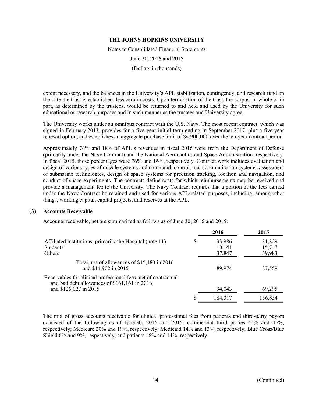Notes to Consolidated Financial Statements June 30, 2016 and 2015 (Dollars in thousands)

extent necessary, and the balances in the University's APL stabilization, contingency, and research fund on the date the trust is established, less certain costs. Upon termination of the trust, the corpus, in whole or in part, as determined by the trustees, would be returned to and held and used by the University for such educational or research purposes and in such manner as the trustees and University agree.

The University works under an omnibus contract with the U.S. Navy. The most recent contract, which was signed in February 2013, provides for a five-year initial term ending in September 2017, plus a five-year renewal option, and establishes an aggregate purchase limit of \$4,900,000 over the ten-year contract period.

Approximately 74% and 18% of APL's revenues in fiscal 2016 were from the Department of Defense (primarily under the Navy Contract) and the National Aeronautics and Space Administration, respectively. In fiscal 2015, those percentages were 76% and 16%, respectively. Contract work includes evaluation and design of various types of missile systems and command, control, and communication systems, assessment of submarine technologies, design of space systems for precision tracking, location and navigation, and conduct of space experiments. The contracts define costs for which reimbursements may be received and provide a management fee to the University. The Navy Contract requires that a portion of the fees earned under the Navy Contract be retained and used for various APL-related purposes, including, among other things, working capital, capital projects, and reserves at the APL.

#### **(3) Accounts Receivable**

Accounts receivable, net are summarized as follows as of June 30, 2016 and 2015:

|                                                                                                                                         |   | 2016                       | 2015                       |  |
|-----------------------------------------------------------------------------------------------------------------------------------------|---|----------------------------|----------------------------|--|
| Affiliated institutions, primarily the Hospital (note 11)<br><b>Students</b><br>Others                                                  | S | 33,986<br>18,141<br>37,847 | 31,829<br>15,747<br>39,983 |  |
| Total, net of allowances of \$15,183 in 2016<br>and \$14,902 in 2015                                                                    |   | 89,974                     | 87,559                     |  |
| Receivables for clinical professional fees, net of contractual<br>and bad debt allowances of \$161,161 in 2016<br>and \$126,027 in 2015 |   | 94,043                     | 69,295                     |  |
|                                                                                                                                         |   |                            |                            |  |
|                                                                                                                                         |   | 184,017                    | 156,854                    |  |

The mix of gross accounts receivable for clinical professional fees from patients and third-party payors consisted of the following as of June 30, 2016 and 2015: commercial third parties 44% and 45%, respectively; Medicare 20% and 19%, respectively; Medicaid 14% and 13%, respectively; Blue Cross/Blue Shield 6% and 9%, respectively; and patients 16% and 14%, respectively.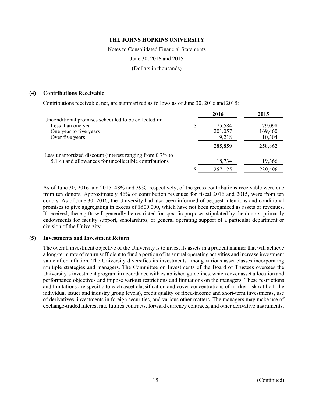Notes to Consolidated Financial Statements

June 30, 2016 and 2015

(Dollars in thousands)

#### **(4) Contributions Receivable**

Contributions receivable, net, are summarized as follows as of June 30, 2016 and 2015:

|                                                                                                                         |   | 2016                       | 2015                        |
|-------------------------------------------------------------------------------------------------------------------------|---|----------------------------|-----------------------------|
| Unconditional promises scheduled to be collected in:<br>Less than one year<br>One year to five years<br>Over five years | S | 75,584<br>201,057<br>9,218 | 79,098<br>169,460<br>10,304 |
|                                                                                                                         |   | 285,859                    | 258,862                     |
| Less unamortized discount (interest ranging from 0.7% to<br>5.1%) and allowances for uncollectible contributions        |   | 18,734                     | 19,366                      |
|                                                                                                                         |   | 267,125                    | 239,496                     |

As of June 30, 2016 and 2015, 48% and 39%, respectively, of the gross contributions receivable were due from ten donors. Approximately 46% of contribution revenues for fiscal 2016 and 2015, were from ten donors. As of June 30, 2016, the University had also been informed of bequest intentions and conditional promises to give aggregating in excess of \$600,000, which have not been recognized as assets or revenues. If received, these gifts will generally be restricted for specific purposes stipulated by the donors, primarily endowments for faculty support, scholarships, or general operating support of a particular department or division of the University.

### **(5) Investments and Investment Return**

The overall investment objective of the University is to invest its assets in a prudent manner that will achieve a long-term rate of return sufficient to fund a portion of its annual operating activities and increase investment value after inflation. The University diversifies its investments among various asset classes incorporating multiple strategies and managers. The Committee on Investments of the Board of Trustees oversees the University's investment program in accordance with established guidelines, which cover asset allocation and performance objectives and impose various restrictions and limitations on the managers. These restrictions and limitations are specific to each asset classification and cover concentrations of market risk (at both the individual issuer and industry group levels), credit quality of fixed-income and short-term investments, use of derivatives, investments in foreign securities, and various other matters. The managers may make use of exchange-traded interest rate futures contracts, forward currency contracts, and other derivative instruments.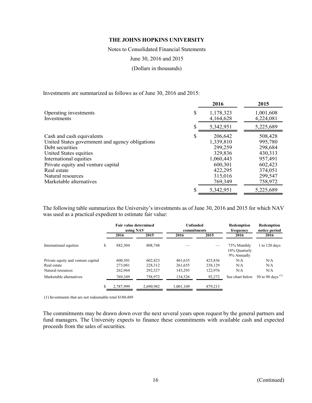Notes to Consolidated Financial Statements

June 30, 2016 and 2015

(Dollars in thousands)

Investments are summarized as follows as of June 30, 2016 and 2015:

|                                                                                                                                                                                                                                                          |   | 2016                                                                                                | 2015                                                                                            |
|----------------------------------------------------------------------------------------------------------------------------------------------------------------------------------------------------------------------------------------------------------|---|-----------------------------------------------------------------------------------------------------|-------------------------------------------------------------------------------------------------|
| Operating investments<br>Investments                                                                                                                                                                                                                     | S | 1,178,323<br>4, 164, 628                                                                            | 1,001,608<br>4,224,081                                                                          |
|                                                                                                                                                                                                                                                          |   | 5,342,951                                                                                           | 5,225,689                                                                                       |
| Cash and cash equivalents<br>United States government and agency obligations<br>Debt securities<br>United States equities<br>International equities<br>Private equity and venture capital<br>Real estate<br>Natural resources<br>Marketable alternatives | S | 206,642<br>1,339,810<br>299,259<br>329,836<br>1,060,443<br>600,301<br>422,295<br>315,016<br>769,349 | 508,428<br>995,780<br>298,684<br>430,313<br>957,491<br>602,423<br>374,051<br>299,547<br>758,972 |
|                                                                                                                                                                                                                                                          |   | 5,342,951                                                                                           | 5,225,689                                                                                       |

The following table summarizes the University's investments as of June 30, 2016 and 2015 for which NAV was used as a practical expedient to estimate fair value:

|                                    |   | <b>Fair value determined</b><br>using NAV |           | Unfunded<br>commitments |         | <b>Redemption</b><br>frequency              | Redemption<br>notice period |  |
|------------------------------------|---|-------------------------------------------|-----------|-------------------------|---------|---------------------------------------------|-----------------------------|--|
|                                    |   | 2016                                      | 2015      | 2016                    | 2015    | 2016                                        | 2016                        |  |
| International equities             | S | 882,304                                   | 808,748   |                         |         | 73% Monthly<br>18% Quarterly<br>9% Annually | 1 to 120 days               |  |
| Private equity and venture capital |   | 600,301                                   | 602.423   | 461,635                 | 425,836 | N/A                                         | N/A                         |  |
| Real estate                        |   | 273,081                                   | 228,312   | 261,655                 | 238,129 | N/A                                         | N/A                         |  |
| Natural resources                  |   | 262,964                                   | 292,527   | 143,293                 | 122,976 | N/A                                         | N/A                         |  |
| Marketable alternatives            |   | 769,349                                   | 758,972   | 134,526                 | 92,272  | See chart below                             | 30 to 90 days $(1)$         |  |
|                                    |   | 2,787,999                                 | 2,690,982 | 1,001,109               | 879,213 |                                             |                             |  |

(1) Investments that are not redeemable total \$180,489

The commitments may be drawn down over the next several years upon request by the general partners and fund managers. The University expects to finance these commitments with available cash and expected proceeds from the sales of securities.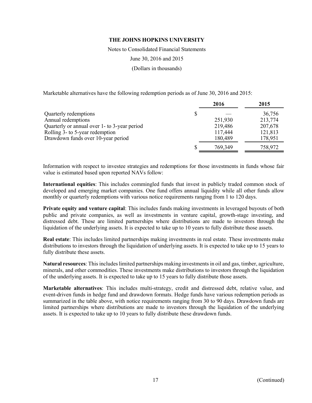Notes to Consolidated Financial Statements

June 30, 2016 and 2015

(Dollars in thousands)

Marketable alternatives have the following redemption periods as of June 30, 2016 and 2015:

|                                              | 2016    | 2015    |
|----------------------------------------------|---------|---------|
| Quarterly redemptions                        | \$      | 36,756  |
| Annual redemptions                           | 251,930 | 213,774 |
| Quarterly or annual over 1- to 3-year period | 219,486 | 207,678 |
| Rolling 3- to 5-year redemption              | 117,444 | 121,813 |
| Drawdown funds over 10-year period           | 180,489 | 178,951 |
|                                              | 769,349 | 758,972 |

Information with respect to investee strategies and redemptions for those investments in funds whose fair value is estimated based upon reported NAVs follow:

**International equities**: This includes commingled funds that invest in publicly traded common stock of developed and emerging market companies. One fund offers annual liquidity while all other funds allow monthly or quarterly redemptions with various notice requirements ranging from 1 to 120 days.

**Private equity and venture capital**: This includes funds making investments in leveraged buyouts of both public and private companies, as well as investments in venture capital, growth-stage investing, and distressed debt. These are limited partnerships where distributions are made to investors through the liquidation of the underlying assets. It is expected to take up to 10 years to fully distribute those assets.

**Real estate**: This includes limited partnerships making investments in real estate. These investments make distributions to investors through the liquidation of underlying assets. It is expected to take up to 15 years to fully distribute these assets.

**Natural resources**: This includes limited partnerships making investments in oil and gas, timber, agriculture, minerals, and other commodities. These investments make distributions to investors through the liquidation of the underlying assets. It is expected to take up to 15 years to fully distribute those assets.

**Marketable alternatives**: This includes multi-strategy, credit and distressed debt, relative value, and event-driven funds in hedge fund and drawdown formats. Hedge funds have various redemption periods as summarized in the table above, with notice requirements ranging from 30 to 90 days. Drawdown funds are limited partnerships where distributions are made to investors through the liquidation of the underlying assets. It is expected to take up to 10 years to fully distribute these drawdown funds.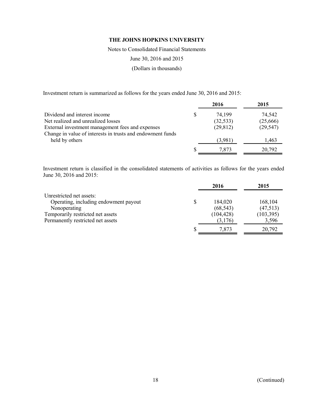Notes to Consolidated Financial Statements

June 30, 2016 and 2015

(Dollars in thousands)

Investment return is summarized as follows for the years ended June 30, 2016 and 2015:

|                                                            |   | 2016      | 2015      |
|------------------------------------------------------------|---|-----------|-----------|
| Dividend and interest income                               | S | 74,199    | 74,542    |
| Net realized and unrealized losses                         |   | (32, 533) | (25,666)  |
| External investment management fees and expenses           |   | (29, 812) | (29, 547) |
| Change in value of interests in trusts and endowment funds |   |           |           |
| held by others                                             |   | (3,981)   | 1,463     |
|                                                            |   | 7.873     | 20,792    |

Investment return is classified in the consolidated statements of activities as follows for the years ended June 30, 2016 and 2015:

|                                       | 2016          | 2015       |
|---------------------------------------|---------------|------------|
| Unrestricted net assets:              |               |            |
| Operating, including endowment payout | \$<br>184,020 | 168,104    |
| Nonoperating                          | (68, 543)     | (47,513)   |
| Temporarily restricted net assets     | (104, 428)    | (103, 395) |
| Permanently restricted net assets     | (3,176)       | 3,596      |
|                                       | 7,873         | 20,792     |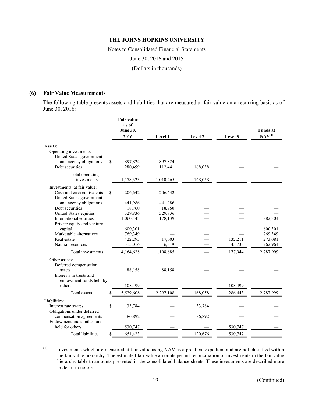Notes to Consolidated Financial Statements

June 30, 2016 and 2015

(Dollars in thousands)

#### **(6) Fair Value Measurements**

The following table presents assets and liabilities that are measured at fair value on a recurring basis as of June 30, 2016:

|                                                                                                        |             | <b>Fair value</b><br>as of<br><b>June 30,</b> |           |         |         | <b>Funds at</b>                          |
|--------------------------------------------------------------------------------------------------------|-------------|-----------------------------------------------|-----------|---------|---------|------------------------------------------|
|                                                                                                        |             | 2016                                          | Level 1   | Level 2 | Level 3 | $\mathbf{N} \mathbf{A} \mathbf{V}^{(1)}$ |
| Assets:<br>Operating investments:<br>United States government<br>and agency obligations                | $\mathbf S$ | 897,824                                       | 897,824   |         |         |                                          |
| Debt securities                                                                                        |             | 280,499                                       | 112,441   | 168,058 |         |                                          |
| Total operating<br>investments                                                                         |             | 1,178,323                                     | 1,010,265 | 168,058 |         |                                          |
| Investments, at fair value:<br>Cash and cash equivalents<br>United States government                   | \$          | 206,642                                       | 206,642   |         |         |                                          |
| and agency obligations                                                                                 |             | 441,986                                       | 441,986   |         |         |                                          |
| Debt securities                                                                                        |             | 18,760                                        | 18,760    |         |         |                                          |
| United States equities                                                                                 |             | 329,836                                       | 329,836   |         |         |                                          |
| International equities<br>Private equity and venture                                                   |             | 1,060,443                                     | 178,139   |         |         | 882,304                                  |
| capital                                                                                                |             | 600,301                                       |           |         |         | 600,301                                  |
| Marketable alternatives                                                                                |             | 769,349                                       |           |         |         | 769,349                                  |
| Real estate                                                                                            |             | 422,295                                       | 17,003    |         | 132,211 | 273,081                                  |
| Natural resources                                                                                      |             | 315,016                                       | 6,319     |         | 45,733  | 262,964                                  |
| Total investments                                                                                      |             | 4,164,628                                     | 1,198,685 |         | 177,944 | 2,787,999                                |
| Other assets:<br>Deferred compensation<br>assets<br>Interests in trusts and<br>endowment funds held by |             | 88,158                                        | 88,158    |         |         |                                          |
| others                                                                                                 |             | 108,499                                       |           |         | 108,499 |                                          |
| Total assets                                                                                           | \$          | 5,539,608                                     | 2,297,108 | 168,058 | 286,443 | 2,787,999                                |
| Liabilities:<br>Interest rate swaps<br>Obligations under deferred                                      | \$          | 33,784                                        |           | 33,784  |         |                                          |
| compensation agreements<br>Endowment and similar funds                                                 |             | 86,892                                        |           | 86,892  |         |                                          |
| held for others                                                                                        |             | 530,747                                       |           |         | 530,747 |                                          |
| Total liabilities                                                                                      | \$          | 651,423                                       |           | 120,676 | 530,747 |                                          |

(1) Investments which are measured at fair value using NAV as a practical expedient and are not classified within the fair value hierarchy. The estimated fair value amounts permit reconciliation of investments in the fair value hierarchy table to amounts presented in the consolidated balance sheets. These investments are described more in detail in note 5.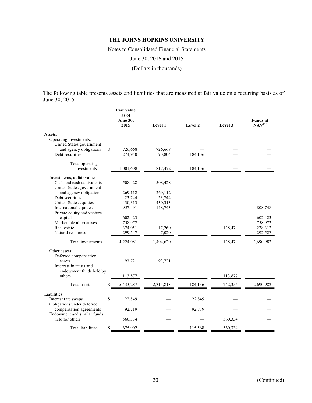Notes to Consolidated Financial Statements

June 30, 2016 and 2015

(Dollars in thousands)

The following table presents assets and liabilities that are measured at fair value on a recurring basis as of June 30, 2015:

|                             | <b>Fair value</b><br>as of<br><b>June 30,</b><br>2015 | <b>Level 1</b> | Level 2 | Level 3 | <b>Funds at</b><br>$\text{NAV}^{(1)}$ |
|-----------------------------|-------------------------------------------------------|----------------|---------|---------|---------------------------------------|
| Assets:                     |                                                       |                |         |         |                                       |
| Operating investments:      |                                                       |                |         |         |                                       |
| United States government    |                                                       |                |         |         |                                       |
| and agency obligations      | \$<br>726,668                                         | 726,668        |         |         |                                       |
| Debt securities             | 274,940                                               | 90,804         | 184,136 |         |                                       |
| Total operating             |                                                       |                |         |         |                                       |
| investments                 | 1,001,608                                             | 817,472        | 184,136 |         |                                       |
| Investments, at fair value: |                                                       |                |         |         |                                       |
| Cash and cash equivalents   | 508,428                                               | 508,428        |         |         |                                       |
| United States government    |                                                       |                |         |         |                                       |
| and agency obligations      | 269,112                                               | 269,112        |         |         |                                       |
| Debt securities             | 23,744                                                | 23,744         |         |         |                                       |
| United States equities      | 430,313                                               | 430,313        |         |         |                                       |
| International equities      | 957,491                                               | 148,743        |         |         | 808,748                               |
| Private equity and venture  |                                                       |                |         |         |                                       |
| capital                     | 602,423                                               |                |         |         | 602,423                               |
| Marketable alternatives     | 758,972                                               |                |         |         | 758,972                               |
| Real estate                 | 374,051                                               | 17,260         |         | 128,479 | 228,312                               |
| Natural resources           | 299,547                                               | 7,020          |         |         | 292,527                               |
| Total investments           | 4,224,081                                             | 1,404,620      |         | 128,479 | 2,690,982                             |
| Other assets:               |                                                       |                |         |         |                                       |
| Deferred compensation       |                                                       |                |         |         |                                       |
| assets                      | 93,721                                                | 93,721         |         |         |                                       |
| Interests in trusts and     |                                                       |                |         |         |                                       |
| endowment funds held by     |                                                       |                |         |         |                                       |
| others                      | 113,877                                               |                |         | 113,877 |                                       |
| \$<br>Total assets          | 5,433,287                                             | 2,315,813      | 184,136 | 242,356 | 2,690,982                             |
| Liabilities:                |                                                       |                |         |         |                                       |
| Interest rate swaps         | \$<br>22,849                                          |                | 22,849  |         |                                       |
| Obligations under deferred  |                                                       |                |         |         |                                       |
| compensation agreements     | 92,719                                                |                | 92,719  |         |                                       |
| Endowment and similar funds |                                                       |                |         |         |                                       |
| held for others             | 560,334                                               |                |         | 560,334 |                                       |
| \$<br>Total liabilities     | 675,902                                               |                | 115,568 | 560,334 |                                       |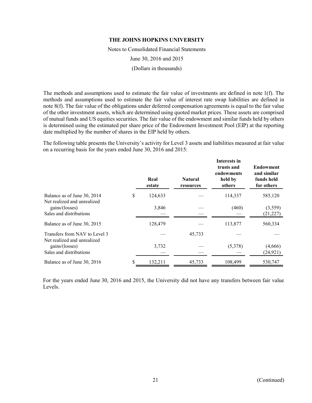Notes to Consolidated Financial Statements

June 30, 2016 and 2015

(Dollars in thousands)

The methods and assumptions used to estimate the fair value of investments are defined in note 1(f). The methods and assumptions used to estimate the fair value of interest rate swap liabilities are defined in note 8(f). The fair value of the obligations under deferred compensation agreements is equal to the fair value of the other investment assets, which are determined using quoted market prices. These assets are comprised of mutual funds and US equities securities. The fair value of the endowment and similar funds held by others is determined using the estimated per share price of the Endowment Investment Pool (EIP) at the reporting date multiplied by the number of shares in the EIP held by others.

The following table presents the University's activity for Level 3 assets and liabilities measured at fair value on a recurring basis for the years ended June 30, 2016 and 2015:

|                                                                          | Real<br>estate | <b>Natural</b><br>resources | Interests in<br>trusts and<br>endowments<br>held by<br>others | <b>Endowment</b><br>and similar<br>funds held<br>for others |
|--------------------------------------------------------------------------|----------------|-----------------------------|---------------------------------------------------------------|-------------------------------------------------------------|
| Balance as of June 30, 2014                                              | \$<br>124,633  |                             | 114,337                                                       | 585,120                                                     |
| Net realized and unrealized<br>gains/(losses)<br>Sales and distributions | 3,846          |                             | (460)                                                         | (3,559)<br>(21, 227)                                        |
| Balance as of June 30, 2015                                              | 128,479        |                             | 113,877                                                       | 560,334                                                     |
| Transfers from NAV to Level 3<br>Net realized and unrealized             |                | 45,733                      |                                                               |                                                             |
| gains/(losses)<br>Sales and distributions                                | 3,732          |                             | (5,378)                                                       | (4,666)<br>(24, 921)                                        |
| Balance as of June 30, 2016                                              | \$<br>132,211  | 45,733                      | 108,499                                                       | 530,747                                                     |

For the years ended June 30, 2016 and 2015, the University did not have any transfers between fair value Levels.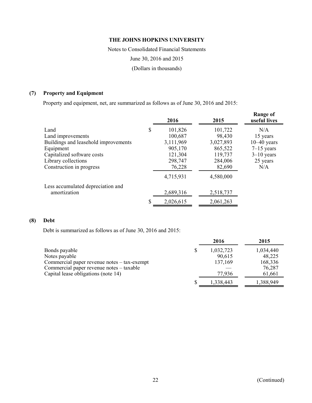Notes to Consolidated Financial Statements

June 30, 2016 and 2015

(Dollars in thousands)

# **(7) Property and Equipment**

Property and equipment, net, are summarized as follows as of June 30, 2016 and 2015:

|                                      | 2016          | 2015      | Range of<br>useful lives |
|--------------------------------------|---------------|-----------|--------------------------|
| Land                                 | \$<br>101,826 | 101,722   | N/A                      |
| Land improvements                    | 100,687       | 98,430    | 15 years                 |
| Buildings and leasehold improvements | 3,111,969     | 3,027,893 | $10-40$ years            |
| Equipment                            | 905,170       | 865,522   | $7-15$ years             |
| Capitalized software costs           | 121,304       | 119,737   | $3-10$ years             |
| Library collections                  | 298,747       | 284,006   | 25 years                 |
| Construction in progress             | 76,228        | 82,690    | N/A                      |
|                                      | 4,715,931     | 4,580,000 |                          |
| Less accumulated depreciation and    |               |           |                          |
| amortization                         | 2,689,316     | 2,518,737 |                          |
|                                      | 2,026,615     | 2,061,263 |                          |

## **(8) Debt**

Debt is summarized as follows as of June 30, 2016 and 2015:

|                                             | 2016      | 2015      |
|---------------------------------------------|-----------|-----------|
| Bonds payable                               | 1,032,723 | 1,034,440 |
| Notes payable                               | 90,615    | 48,225    |
| Commercial paper revenue notes – tax-exempt | 137,169   | 168,336   |
| Commercial paper revenue notes – taxable    |           | 76,287    |
| Capital lease obligations (note 14)         | 77,936    | 61,661    |
|                                             | 1,338,443 | 1,388,949 |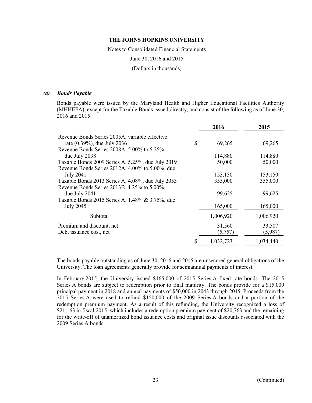Notes to Consolidated Financial Statements

June 30, 2016 and 2015

(Dollars in thousands)

#### *(a) Bonds Payable*

Bonds payable were issued by the Maryland Health and Higher Educational Facilities Authority (MHHEFA), except for the Taxable Bonds issued directly, and consist of the following as of June 30, 2016 and 2015:

|                                                                                                      |    | 2016               | 2015               |
|------------------------------------------------------------------------------------------------------|----|--------------------|--------------------|
| Revenue Bonds Series 2005A, variable effective<br>rate (0.39%), due July 2036                        | \$ | 69,265             | 69,265             |
| Revenue Bonds Series 2008A, 5.00% to 5.25%,<br>due July 2038                                         |    | 114,880            | 114,880            |
| Taxable Bonds 2009 Series A, 5.25%, due July 2019<br>Revenue Bonds Series 2012A, 4.00% to 5.00%, due |    | 50,000             | 50,000             |
| <b>July 2041</b><br>Taxable Bonds 2013 Series A, 4.08%, due July 2053                                |    | 153,150<br>355,000 | 153,150<br>355,000 |
| Revenue Bonds Series 2013B, 4.25% to 5.00%.<br>due July 2041                                         |    | 99,625             | 99,625             |
| Taxable Bonds 2015 Series A, 1.48% & 3.75%, due<br><b>July 2045</b>                                  |    | 165,000            | 165,000            |
| Subtotal                                                                                             |    | 1,006,920          | 1,006,920          |
| Premium and discount, net<br>Debt issuance cost, net                                                 |    | 31,560<br>(5,757)  | 33,507<br>(5,987)  |
|                                                                                                      | S  | 1,032,723          | 1,034,440          |

The bonds payable outstanding as of June 30, 2016 and 2015 are unsecured general obligations of the University. The loan agreements generally provide for semiannual payments of interest.

In February 2015, the University issued \$165,000 of 2015 Series A fixed rate bonds. The 2015 Series A bonds are subject to redemption prior to final maturity. The bonds provide for a \$15,000 principal payment in 2018 and annual payments of \$50,000 in 2043 through 2045. Proceeds from the 2015 Series A were used to refund \$150,000 of the 2009 Series A bonds and a portion of the redemption premium payment. As a result of this refunding, the University recognized a loss of \$21,163 in fiscal 2015, which includes a redemption premium payment of \$20,763 and the remaining for the write-off of unamortized bond issuance costs and original issue discounts associated with the 2009 Series A bonds.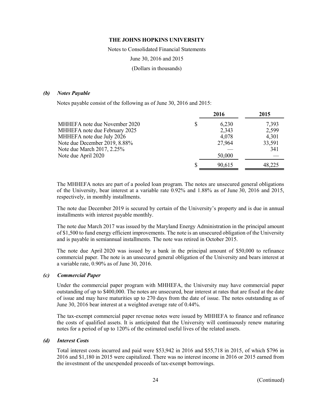Notes to Consolidated Financial Statements

June 30, 2016 and 2015

(Dollars in thousands)

#### *(b) Notes Payable*

Notes payable consist of the following as of June 30, 2016 and 2015:

|   | 2016   | 2015   |
|---|--------|--------|
| S | 6,230  | 7,393  |
|   | 2,343  | 2,599  |
|   | 4,078  | 4,301  |
|   | 27,964 | 33,591 |
|   |        | 341    |
|   | 50,000 |        |
|   | 90,615 | 48,225 |
|   |        |        |

The MHHEFA notes are part of a pooled loan program. The notes are unsecured general obligations of the University, bear interest at a variable rate 0.92% and 1.88% as of June 30, 2016 and 2015, respectively, in monthly installments.

The note due December 2019 is secured by certain of the University's property and is due in annual installments with interest payable monthly.

The note due March 2017 was issued by the Maryland Energy Administration in the principal amount of \$1,500 to fund energy efficient improvements. The note is an unsecured obligation of the University and is payable in semiannual installments. The note was retired in October 2015.

The note due April 2020 was issued by a bank in the principal amount of \$50,000 to refinance commercial paper. The note is an unsecured general obligation of the University and bears interest at a variable rate, 0.90% as of June 30, 2016.

#### *(c) Commercial Paper*

Under the commercial paper program with MHHEFA, the University may have commercial paper outstanding of up to \$400,000. The notes are unsecured, bear interest at rates that are fixed at the date of issue and may have maturities up to 270 days from the date of issue. The notes outstanding as of June 30, 2016 bear interest at a weighted average rate of 0.44%.

The tax-exempt commercial paper revenue notes were issued by MHHEFA to finance and refinance the costs of qualified assets. It is anticipated that the University will continuously renew maturing notes for a period of up to 120% of the estimated useful lives of the related assets.

#### *(d) Interest Costs*

Total interest costs incurred and paid were \$53,942 in 2016 and \$55,718 in 2015, of which \$796 in 2016 and \$1,180 in 2015 were capitalized. There was no interest income in 2016 or 2015 earned from the investment of the unexpended proceeds of tax-exempt borrowings.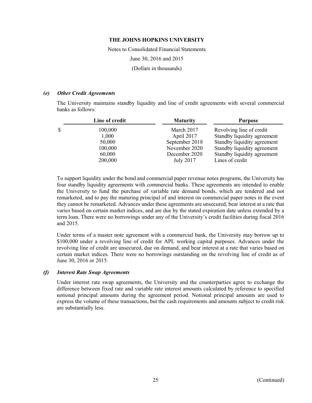Notes to Consolidated Financial Statements

June 30, 2016 and 2015

(Dollars in thousands)

#### *(e) Other Credit Agreements*

The University maintains standby liquidity and line of credit agreements with several commercial banks as follows:

| 100,000                                         |                                                                                                                                                                                                                                                                             |
|-------------------------------------------------|-----------------------------------------------------------------------------------------------------------------------------------------------------------------------------------------------------------------------------------------------------------------------------|
| 1,000<br>50,000<br>100,000<br>60,000<br>200,000 | Revolving line of credit<br>March 2017<br>Standby liquidity agreement<br>April 2017<br>Standby liquidity agreement<br>September 2018<br>Standby liquidity agreement<br>November 2020<br>Standby liquidity agreement<br>December 2020<br>Lines of credit<br><b>July 2017</b> |

To support liquidity under the bond and commercial paper revenue notes programs, the University has four standby liquidity agreements with commercial banks. These agreements are intended to enable the University to fund the purchase of variable rate demand bonds, which are tendered and not remarketed, and to pay the maturing principal of and interest on commercial paper notes in the event they cannot be remarketed. Advances under these agreements are unsecured, bear interest at a rate that varies based on certain market indices, and are due by the stated expiration date unless extended by a term loan. There were no borrowings under any of the University's credit facilities during fiscal 2016 and 2015.

Under terms of a master note agreement with a commercial bank, the University may borrow up to \$100,000 under a revolving line of credit for APL working capital purposes. Advances under the revolving line of credit are unsecured, due on demand, and bear interest at a rate that varies based on certain market indices. There were no borrowings outstanding on the revolving line of credit as of June 30, 2016 or 2015.

#### *(f) Interest Rate Swap Agreements*

Under interest rate swap agreements, the University and the counterparties agree to exchange the difference between fixed rate and variable rate interest amounts calculated by reference to specified notional principal amounts during the agreement period. Notional principal amounts are used to express the volume of these transactions, but the cash requirements and amounts subject to credit risk are substantially less.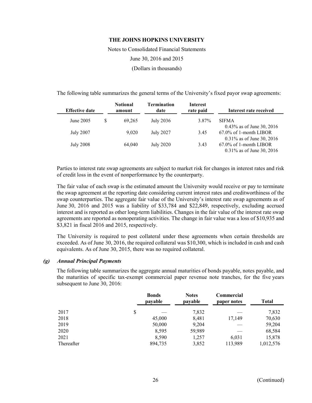Notes to Consolidated Financial Statements June 30, 2016 and 2015 (Dollars in thousands)

The following table summarizes the general terms of the University's fixed payor swap agreements:

| <b>Effective date</b> |    | <b>Notional</b><br>amount | <b>Termination</b><br>date | <b>Interest</b><br>rate paid | Interest rate received                                                                    |
|-----------------------|----|---------------------------|----------------------------|------------------------------|-------------------------------------------------------------------------------------------|
| June 2005             | S. | 69,265                    | July 2036                  | 3.87%                        | <b>SIFMA</b>                                                                              |
| July 2007             |    | 9.020                     | July 2027                  | 3.45                         | 0.43% as of June 30, 2016<br>$67.0\%$ of 1-month LIBOR                                    |
| July 2008             |    | 64.040                    | <b>July 2020</b>           | 3.43                         | $0.31\%$ as of June 30, 2016<br>$67.0\%$ of 1-month LIBOR<br>$0.31\%$ as of June 30, 2016 |

Parties to interest rate swap agreements are subject to market risk for changes in interest rates and risk of credit loss in the event of nonperformance by the counterparty.

The fair value of each swap is the estimated amount the University would receive or pay to terminate the swap agreement at the reporting date considering current interest rates and creditworthiness of the swap counterparties. The aggregate fair value of the University's interest rate swap agreements as of June 30, 2016 and 2015 was a liability of \$33,784 and \$22,849, respectively, excluding accrued interest and is reported as other long-term liabilities. Changes in the fair value of the interest rate swap agreements are reported as nonoperating activities. The change in fair value was a loss of \$10,935 and \$3,821 in fiscal 2016 and 2015, respectively.

The University is required to post collateral under these agreements when certain thresholds are exceeded. As of June 30, 2016, the required collateral was \$10,300, which is included in cash and cash equivalents. As of June 30, 2015, there was no required collateral.

#### *(g) Annual Principal Payments*

The following table summarizes the aggregate annual maturities of bonds payable, notes payable, and the maturities of specific tax-exempt commercial paper revenue note tranches, for the five years subsequent to June 30, 2016:

|            | <b>Bonds</b><br>payable | <b>Notes</b><br>payable | <b>Commercial</b><br>paper notes | <b>Total</b> |
|------------|-------------------------|-------------------------|----------------------------------|--------------|
| 2017       | \$                      | 7,832                   |                                  | 7,832        |
| 2018       | 45,000                  | 8,481                   | 17,149                           | 70,630       |
| 2019       | 50,000                  | 9,204                   |                                  | 59,204       |
| 2020       | 8,595                   | 59,989                  |                                  | 68,584       |
| 2021       | 8,590                   | 1,257                   | 6,031                            | 15,878       |
| Thereafter | 894,735                 | 3,852                   | 113,989                          | 1,012,576    |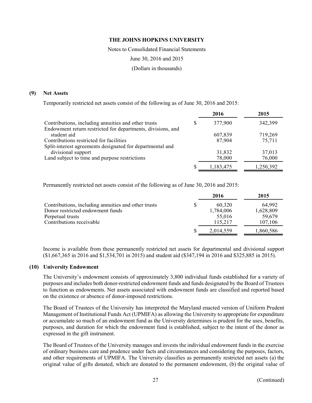Notes to Consolidated Financial Statements

June 30, 2016 and 2015

#### (Dollars in thousands)

#### **(9) Net Assets**

Temporarily restricted net assets consist of the following as of June 30, 2016 and 2015:

|                                                             |   | 2016      | 2015      |
|-------------------------------------------------------------|---|-----------|-----------|
| Contributions, including annuities and other trusts         | S | 377,900   | 342,399   |
| Endowment return restricted for departments, divisions, and |   |           |           |
| student aid                                                 |   | 607,839   | 719,269   |
| Contributions restricted for facilities                     |   | 87,904    | 75,711    |
| Split-interest agreements designated for departmental and   |   |           |           |
| divisional support                                          |   | 31,832    | 37,013    |
| Land subject to time and purpose restrictions               |   | 78,000    | 76,000    |
|                                                             |   | 1,183,475 | 1,250,392 |

Permanently restricted net assets consist of the following as of June 30, 2016 and 2015:

|                                                     | 2016      | 2015      |
|-----------------------------------------------------|-----------|-----------|
| Contributions, including annuities and other trusts | 60,320    | 64.992    |
| Donor restricted endowment funds                    | 1,784,006 | 1,628,809 |
| Perpetual trusts                                    | 55,016    | 59.679    |
| Contributions receivable                            | 115,217   | 107,106   |
|                                                     | 2,014,559 | 1,860,586 |

Income is available from these permanently restricted net assets for departmental and divisional support (\$1,667,365 in 2016 and \$1,534,701 in 2015) and student aid (\$347,194 in 2016 and \$325,885 in 2015).

#### **(10) University Endowment**

The University's endowment consists of approximately 3,800 individual funds established for a variety of purposes and includes both donor-restricted endowment funds and funds designated by the Board of Trustees to function as endowments. Net assets associated with endowment funds are classified and reported based on the existence or absence of donor-imposed restrictions.

The Board of Trustees of the University has interpreted the Maryland enacted version of Uniform Prudent Management of Institutional Funds Act (UPMIFA) as allowing the University to appropriate for expenditure or accumulate so much of an endowment fund as the University determines is prudent for the uses, benefits, purposes, and duration for which the endowment fund is established, subject to the intent of the donor as expressed in the gift instrument.

The Board of Trustees of the University manages and invests the individual endowment funds in the exercise of ordinary business care and prudence under facts and circumstances and considering the purposes, factors, and other requirements of UPMIFA. The University classifies as permanently restricted net assets (a) the original value of gifts donated, which are donated to the permanent endowment, (b) the original value of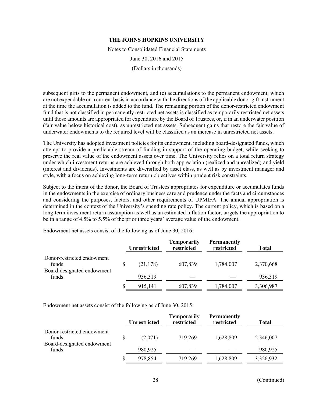Notes to Consolidated Financial Statements

June 30, 2016 and 2015

(Dollars in thousands)

subsequent gifts to the permanent endowment, and (c) accumulations to the permanent endowment, which are not expendable on a current basis in accordance with the directions of the applicable donor gift instrument at the time the accumulation is added to the fund. The remaining portion of the donor-restricted endowment fund that is not classified in permanently restricted net assets is classified as temporarily restricted net assets until those amounts are appropriated for expenditure by the Board of Trustees, or, if in an underwater position (fair value below historical cost), as unrestricted net assets. Subsequent gains that restore the fair value of underwater endowments to the required level will be classified as an increase in unrestricted net assets.

The University has adopted investment policies for its endowment, including board-designated funds, which attempt to provide a predictable stream of funding in support of the operating budget, while seeking to preserve the real value of the endowment assets over time. The University relies on a total return strategy under which investment returns are achieved through both appreciation (realized and unrealized) and yield (interest and dividends). Investments are diversified by asset class, as well as by investment manager and style, with a focus on achieving long-term return objectives within prudent risk constraints.

Subject to the intent of the donor, the Board of Trustees appropriates for expenditure or accumulates funds in the endowments in the exercise of ordinary business care and prudence under the facts and circumstances and considering the purposes, factors, and other requirements of UPMIFA. The annual appropriation is determined in the context of the University's spending rate policy. The current policy, which is based on a long-term investment return assumption as well as an estimated inflation factor, targets the appropriation to be in a range of 4.5% to 5.5% of the prior three years' average value of the endowment.

|                                                                   | <b>Unrestricted</b> | <b>Temporarily</b><br>restricted | <b>Permanently</b><br>restricted | Total     |
|-------------------------------------------------------------------|---------------------|----------------------------------|----------------------------------|-----------|
| Donor-restricted endowment<br>funds<br>Board-designated endowment | (21, 178)           | 607,839                          | 1,784,007                        | 2,370,668 |
| funds                                                             | 936,319             |                                  |                                  | 936,319   |
|                                                                   | 915,141             | 607,839                          | 1,784,007                        | 3,306,987 |

Endowment net assets consist of the following as of June 30, 2016:

Endowment net assets consist of the following as of June 30, 2015:

|                                                                   | Unrestricted | <b>Temporarily</b><br>restricted | <b>Permanently</b><br>restricted | <b>Total</b> |
|-------------------------------------------------------------------|--------------|----------------------------------|----------------------------------|--------------|
| Donor-restricted endowment<br>funds<br>Board-designated endowment | (2,071)      | 719,269                          | 1,628,809                        | 2,346,007    |
| funds                                                             | 980,925      |                                  |                                  | 980,925      |
|                                                                   | 978,854      | 719,269                          | 1,628,809                        | 3,326,932    |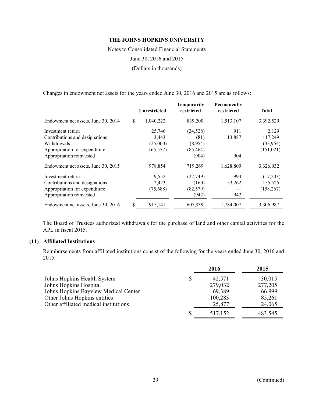Notes to Consolidated Financial Statements

June 30, 2016 and 2015

(Dollars in thousands)

Changes in endowment net assets for the years ended June 30, 2016 and 2015 are as follows:

|                                           | Unrestricted | <b>Temporarily</b><br>restricted | Permanently<br>restricted | Total      |
|-------------------------------------------|--------------|----------------------------------|---------------------------|------------|
| \$<br>Endowment net assets, June 30, 2014 | 1,040,222    | 839,200                          | 1,513,107                 | 3,392,529  |
| Investment return                         | 25,746       | (24, 528)                        | 911                       | 2,129      |
| Contributions and designations            | 3,443        | (81)                             | 113,887                   | 117,249    |
| Withdrawals                               | (25,000)     | (8,954)                          |                           | (33,954)   |
| Appropriation for expenditure             | (65, 557)    | (85, 464)                        |                           | (151, 021) |
| Appropriation reinvested                  |              | (904)                            | 904                       |            |
| Endowment net assets, June 30, 2015       | 978,854      | 719,269                          | 1,628,809                 | 3,326,932  |
| Investment return                         | 9,552        | (27,749)                         | 994                       | (17,203)   |
| Contributions and designations            | 2,423        | (160)                            | 153,262                   | 155,525    |
| Appropriation for expenditure             | (75,688)     | (82,579)                         |                           | (158, 267) |
| Appropriation reinvested                  |              | (942)                            | 942                       |            |
| Endowment net assets, June 30, 2016<br>S  | 915,141      | 607,839                          | 1,784,007                 | 3,306,987  |

The Board of Trustees authorized withdrawals for the purchase of land and other capital activities for the APL in fiscal 2015.

# **(11) Affiliated Institutions**

Reimbursements from affiliated institutions consist of the following for the years ended June 30, 2016 and 2015:

|                                       |   | 2016    | 2015    |
|---------------------------------------|---|---------|---------|
| Johns Hopkins Health System           | S | 42,571  | 30,015  |
| Johns Hopkins Hospital                |   | 279,032 | 277,205 |
| Johns Hopkins Bayview Medical Center  |   | 69,389  | 66,999  |
| Other Johns Hopkins entities          |   | 100,283 | 85,261  |
| Other affiliated medical institutions |   | 25,877  | 24,065  |
|                                       |   | 517,152 | 483,545 |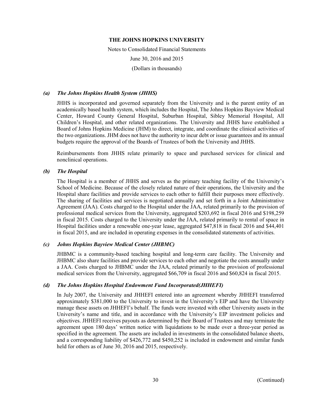Notes to Consolidated Financial Statements June 30, 2016 and 2015 (Dollars in thousands)

### *(a) The Johns Hopkins Health System (JHHS)*

JHHS is incorporated and governed separately from the University and is the parent entity of an academically based health system, which includes the Hospital, The Johns Hopkins Bayview Medical Center, Howard County General Hospital, Suburban Hospital, Sibley Memorial Hospital, All Children's Hospital, and other related organizations. The University and JHHS have established a Board of Johns Hopkins Medicine (JHM) to direct, integrate, and coordinate the clinical activities of the two organizations. JHM does not have the authority to incur debt or issue guarantees and its annual budgets require the approval of the Boards of Trustees of both the University and JHHS.

Reimbursements from JHHS relate primarily to space and purchased services for clinical and nonclinical operations.

### *(b) The Hospital*

The Hospital is a member of JHHS and serves as the primary teaching facility of the University's School of Medicine. Because of the closely related nature of their operations, the University and the Hospital share facilities and provide services to each other to fulfill their purposes more effectively. The sharing of facilities and services is negotiated annually and set forth in a Joint Administrative Agreement (JAA). Costs charged to the Hospital under the JAA, related primarily to the provision of professional medical services from the University, aggregated \$203,692 in fiscal 2016 and \$198,259 in fiscal 2015. Costs charged to the University under the JAA, related primarily to rental of space in Hospital facilities under a renewable one-year lease, aggregated \$47,818 in fiscal 2016 and \$44,401 in fiscal 2015, and are included in operating expenses in the consolidated statements of activities.

# *(c) Johns Hopkins Bayview Medical Center (JHBMC)*

JHBMC is a community-based teaching hospital and long-term care facility. The University and JHBMC also share facilities and provide services to each other and negotiate the costs annually under a JAA. Costs charged to JHBMC under the JAA, related primarily to the provision of professional medical services from the University, aggregated \$66,709 in fiscal 2016 and \$60,824 in fiscal 2015.

# *(d) The Johns Hopkins Hospital Endowment Fund Incorporated(JHHEFI)*

In July 2007, the University and JHHEFI entered into an agreement whereby JHHEFI transferred approximately \$381,000 to the University to invest in the University's EIP and have the University manage these assets on JHHEFI's behalf. The funds were invested with other University assets in the University's name and title, and in accordance with the University's EIP investment policies and objectives. JHHEFI receives payouts as determined by their Board of Trustees and may terminate the agreement upon 180 days' written notice with liquidations to be made over a three-year period as specified in the agreement. The assets are included in investments in the consolidated balance sheets, and a corresponding liability of \$426,772 and \$450,252 is included in endowment and similar funds held for others as of June 30, 2016 and 2015, respectively.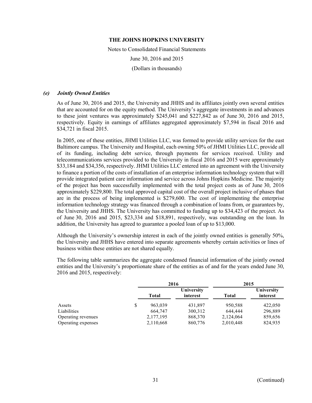Notes to Consolidated Financial Statements June 30, 2016 and 2015 (Dollars in thousands)

#### *(e) Jointly Owned Entities*

As of June 30, 2016 and 2015, the University and JHHS and its affiliates jointly own several entities that are accounted for on the equity method. The University's aggregate investments in and advances to these joint ventures was approximately \$245,041 and \$227,842 as of June 30, 2016 and 2015, respectively. Equity in earnings of affiliates aggregated approximately \$7,594 in fiscal 2016 and \$34,721 in fiscal 2015.

In 2005, one of these entities, JHMI Utilities LLC, was formed to provide utility services for the east Baltimore campus. The University and Hospital, each owning 50% of JHMI Utilities LLC, provide all of its funding, including debt service, through payments for services received. Utility and telecommunications services provided to the University in fiscal 2016 and 2015 were approximately \$33,184 and \$34,356, respectively. JHMI Utilities LLC entered into an agreement with the University to finance a portion of the costs of installation of an enterprise information technology system that will provide integrated patient care information and service across Johns Hopkins Medicine. The majority of the project has been successfully implemented with the total project costs as of June 30, 2016 approximately \$229,800. The total approved capital cost of the overall project inclusive of phases that are in the process of being implemented is \$279,600. The cost of implementing the enterprise information technology strategy was financed through a combination of loans from, or guarantees by, the University and JHHS. The University has committed to funding up to \$34,423 of the project. As of June 30, 2016 and 2015, \$23,334 and \$18,891, respectively, was outstanding on the loan. In addition, the University has agreed to guarantee a pooled loan of up to \$13,000.

Although the University's ownership interest in each of the jointly owned entities is generally 50%, the University and JHHS have entered into separate agreements whereby certain activities or lines of business within these entities are not shared equally.

The following table summarizes the aggregate condensed financial information of the jointly owned entities and the University's proportionate share of the entities as of and for the years ended June 30, 2016 and 2015, respectively:

|                    | 2016          |                        | 2015      |                        |  |
|--------------------|---------------|------------------------|-----------|------------------------|--|
|                    | Total         | University<br>interest | Total     | University<br>interest |  |
| Assets             | \$<br>963,039 | 431,897                | 950,588   | 422,050                |  |
| Liabilities        | 664,747       | 300,312                | 644,444   | 296,889                |  |
| Operating revenues | 2,177,195     | 868,370                | 2,124,064 | 859,656                |  |
| Operating expenses | 2,110,668     | 860,776                | 2,010,448 | 824,935                |  |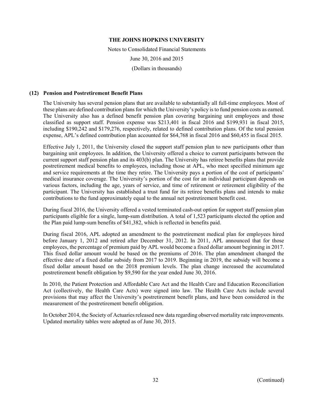Notes to Consolidated Financial Statements June 30, 2016 and 2015 (Dollars in thousands)

#### **(12) Pension and Postretirement Benefit Plans**

The University has several pension plans that are available to substantially all full-time employees. Most of these plans are defined contribution plans for which the University's policy is to fund pension costs as earned. The University also has a defined benefit pension plan covering bargaining unit employees and those classified as support staff. Pension expense was \$213,401 in fiscal 2016 and \$199,931 in fiscal 2015, including \$190,242 and \$179,276, respectively, related to defined contribution plans. Of the total pension expense, APL's defined contribution plan accounted for \$64,768 in fiscal 2016 and \$60,455 in fiscal 2015.

Effective July 1, 2011, the University closed the support staff pension plan to new participants other than bargaining unit employees. In addition, the University offered a choice to current participants between the current support staff pension plan and its 403(b) plan. The University has retiree benefits plans that provide postretirement medical benefits to employees, including those at APL, who meet specified minimum age and service requirements at the time they retire. The University pays a portion of the cost of participants' medical insurance coverage. The University's portion of the cost for an individual participant depends on various factors, including the age, years of service, and time of retirement or retirement eligibility of the participant. The University has established a trust fund for its retiree benefits plans and intends to make contributions to the fund approximately equal to the annual net postretirement benefit cost.

During fiscal 2016, the University offered a vested terminated cash-out option for support staff pension plan participants eligible for a single, lump-sum distribution. A total of 1,523 participants elected the option and the Plan paid lump-sum benefits of \$41,382, which is reflected in benefits paid.

During fiscal 2016, APL adopted an amendment to the postretirement medical plan for employees hired before January 1, 2012 and retired after December 31, 2012. In 2011, APL announced that for those employees, the percentage of premium paid by APL would become a fixed dollar amount beginning in 2017. This fixed dollar amount would be based on the premiums of 2016. The plan amendment changed the effective date of a fixed dollar subsidy from 2017 to 2019. Beginning in 2019, the subsidy will become a fixed dollar amount based on the 2018 premium levels. The plan change increased the accumulated postretirement benefit obligation by \$9,590 for the year ended June 30, 2016.

In 2010, the Patient Protection and Affordable Care Act and the Health Care and Education Reconciliation Act (collectively, the Health Care Acts) were signed into law. The Health Care Acts include several provisions that may affect the University's postretirement benefit plans, and have been considered in the measurement of the postretirement benefit obligation.

In October 2014, the Society of Actuaries released new data regarding observed mortality rate improvements. Updated mortality tables were adopted as of June 30, 2015.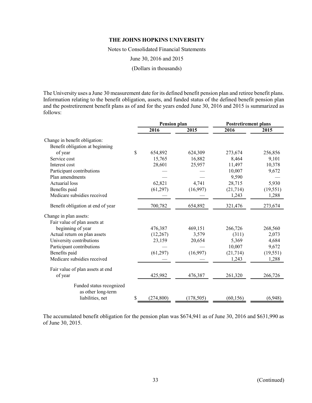Notes to Consolidated Financial Statements

June 30, 2016 and 2015

(Dollars in thousands)

The University uses a June 30 measurement date for its defined benefit pension plan and retiree benefit plans. Information relating to the benefit obligation, assets, and funded status of the defined benefit pension plan and the postretirement benefit plans as of and for the years ended June 30, 2016 and 2015 is summarized as follows:

|                                   | Pension plan     |            | <b>Postretirement plans</b> |           |
|-----------------------------------|------------------|------------|-----------------------------|-----------|
|                                   | 2016             | 2015       | 2016                        | 2015      |
| Change in benefit obligation:     |                  |            |                             |           |
| Benefit obligation at beginning   |                  |            |                             |           |
| of year                           | \$<br>654,892    | 624,309    | 273,674                     | 256,856   |
| Service cost                      | 15,765           | 16,882     | 8,464                       | 9,101     |
| Interest cost                     | 28,601           | 25,957     | 11,497                      | 10,378    |
| Participant contributions         |                  |            | 10,007                      | 9,672     |
| Plan amendments                   |                  |            | 9,590                       |           |
| Actuarial loss                    | 62,821           | 4,741      | 28,715                      | 5,930     |
| Benefits paid                     | (61, 297)        | (16,997)   | (21,714)                    | (19, 551) |
| Medicare subsidies received       |                  |            | 1,243                       | 1,288     |
| Benefit obligation at end of year | 700,782          | 654,892    | 321,476                     | 273,674   |
| Change in plan assets:            |                  |            |                             |           |
| Fair value of plan assets at      |                  |            |                             |           |
| beginning of year                 | 476,387          | 469,151    | 266,726                     | 268,560   |
| Actual return on plan assets      | (12, 267)        | 3,579      | (311)                       | 2,073     |
| University contributions          | 23,159           | 20,654     | 5,369                       | 4,684     |
| Participant contributions         |                  |            | 10,007                      | 9,672     |
| Benefits paid                     | (61, 297)        | (16,997)   | (21, 714)                   | (19, 551) |
| Medicare subsidies received       |                  |            | 1,243                       | 1,288     |
| Fair value of plan assets at end  |                  |            |                             |           |
| of year                           | 425,982          | 476,387    | 261,320                     | 266,726   |
| Funded status recognized          |                  |            |                             |           |
| as other long-term                |                  |            |                             |           |
| liabilities, net                  | \$<br>(274, 800) | (178, 505) | (60, 156)                   | (6,948)   |

The accumulated benefit obligation for the pension plan was \$674,941 as of June 30, 2016 and \$631,990 as of June 30, 2015.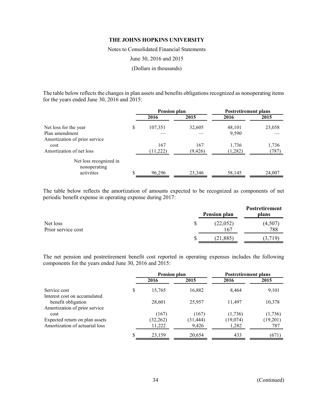Notes to Consolidated Financial Statements

June 30, 2016 and 2015

(Dollars in thousands)

The table below reflects the changes in plan assets and benefits obligations recognized as nonoperating items for the years ended June 30, 2016 and 2015:

|                                        |   | <b>Pension plan</b> |          | <b>Postretirement plans</b> |        |  |
|----------------------------------------|---|---------------------|----------|-----------------------------|--------|--|
|                                        |   | 2016                | 2015     | 2016                        | 2015   |  |
| Net loss for the year                  | S | 107,351             | 32,605   | 48,101                      | 23,058 |  |
| Plan amendment                         |   |                     |          | 9,590                       |        |  |
| Amortization of prior service          |   |                     |          |                             |        |  |
| cost                                   |   | 167                 | 167      | 1,736                       | 1,736  |  |
| Amortization of net loss               |   | (11, 222)           | (9, 426) | (1,282)                     | (787)  |  |
| Net loss recognized in<br>nonoperating |   |                     |          |                             |        |  |
| activities                             | S | 96,296              | 23,346   | 58,145                      | 24,007 |  |

The table below reflects the amortization of amounts expected to be recognized as components of net periodic benefit expense in operating expense during 2017:

|                                |    | <b>Pension plan</b> | Postretirement<br>plans |
|--------------------------------|----|---------------------|-------------------------|
| Net loss<br>Prior service cost | \$ | (22, 052)<br>167    | (4,507<br>788           |
|                                | ¢  | 21,885              | /19<br>$\mathfrak{I}$ . |

The net pension and postretirement benefit cost reported in operating expenses includes the following components for the years ended June 30, 2016 and 2015:

|                                | <b>Pension plan</b> |           | <b>Postretirement plans</b> |          |
|--------------------------------|---------------------|-----------|-----------------------------|----------|
|                                | 2016                | 2015      | 2016                        | 2015     |
| \$<br>Service cost             | 15,765              | 16,882    | 8,464                       | 9,101    |
| Interest cost on accumulated   |                     |           |                             |          |
| benefit obligation             | 28,601              | 25,957    | 11,497                      | 10,378   |
| Amortization of prior service  |                     |           |                             |          |
| cost                           | (167)               | (167)     | (1,736)                     | (1,736)  |
| Expected return on plan assets | (32, 262)           | (31, 444) | (19,074)                    | (19,201) |
| Amortization of actuarial loss | 11,222              | 9,426     | 1,282                       | 787      |
| S                              | 23,159              | 20,654    | 433                         | (671)    |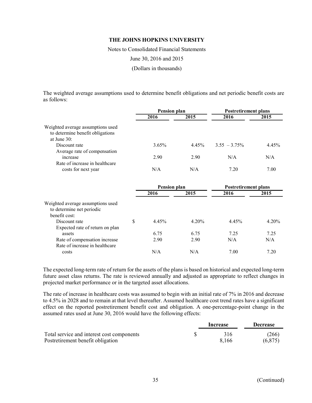Notes to Consolidated Financial Statements

June 30, 2016 and 2015

(Dollars in thousands)

The weighted average assumptions used to determine benefit obligations and net periodic benefit costs are as follows:

|                                                                                         | <b>Pension plan</b> |       | <b>Postretirement plans</b> |       |  |
|-----------------------------------------------------------------------------------------|---------------------|-------|-----------------------------|-------|--|
|                                                                                         | 2016                | 2015  | 2016                        | 2015  |  |
| Weighted average assumptions used<br>to determine benefit obligations<br>at June $30$ : |                     |       |                             |       |  |
| Discount rate                                                                           | $3.65\%$            | 4.45% | $3.55 - 3.75\%$             | 4.45% |  |
| Average rate of compensation<br>increase                                                | 2.90                | 2.90  | N/A                         | N/A   |  |
| Rate of increase in healthcare<br>costs for next year                                   | N/A                 | N/A   | 7 20                        | 7.00  |  |

|                                                                                 | <b>Pension plan</b> |       |          | <b>Postretirement plans</b> |          |
|---------------------------------------------------------------------------------|---------------------|-------|----------|-----------------------------|----------|
|                                                                                 |                     | 2016  | 2015     | 2016                        | 2015     |
| Weighted average assumptions used<br>to determine net periodic<br>benefit cost: |                     |       |          |                             |          |
| Discount rate<br>Expected rate of return on plan                                | \$                  | 4.45% | $4.20\%$ | 4.45%                       | $4.20\%$ |
| assets                                                                          |                     | 6.75  | 6.75     | 7.25                        | 7.25     |
| Rate of compensation increase<br>Rate of increase in healthcare                 |                     | 2.90  | 2.90     | N/A                         | N/A      |
| costs                                                                           |                     | N/A   | N/A      | 7.00                        | 7.20     |

The expected long-term rate of return for the assets of the plans is based on historical and expected long-term future asset class returns. The rate is reviewed annually and adjusted as appropriate to reflect changes in projected market performance or in the targeted asset allocations.

The rate of increase in healthcare costs was assumed to begin with an initial rate of 7% in 2016 and decrease to 4.5% in 2028 and to remain at that level thereafter. Assumed healthcare cost trend rates have a significant effect on the reported postretirement benefit cost and obligation. A one-percentage-point change in the assumed rates used at June 30, 2016 would have the following effects:

|                                            | Increase | Decrease |
|--------------------------------------------|----------|----------|
| Total service and interest cost components | 316      | (266)    |
| Postretirement benefit obligation          | 8,166    | (6,875)  |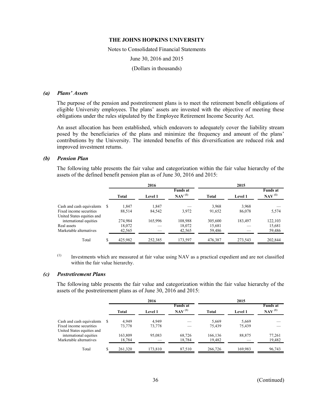Notes to Consolidated Financial Statements June 30, 2016 and 2015 (Dollars in thousands)

# *(a) Plans' Assets*

The purpose of the pension and postretirement plans is to meet the retirement benefit obligations of eligible University employees. The plans' assets are invested with the objective of meeting these obligations under the rules stipulated by the Employee Retirement Income Security Act.

An asset allocation has been established, which endeavors to adequately cover the liability stream posed by the beneficiaries of the plans and minimize the frequency and amount of the plans' contributions by the University. The intended benefits of this diversification are reduced risk and improved investment returns.

#### *(b) Pension Plan*

The following table presents the fair value and categorization within the fair value hierarchy of the assets of the defined benefit pension plan as of June 30, 2016 and 2015:

|                                                       |   | 2016         |                |                    | 2015         |                |                    |  |
|-------------------------------------------------------|---|--------------|----------------|--------------------|--------------|----------------|--------------------|--|
|                                                       |   |              |                | <b>Funds at</b>    |              |                | <b>Funds at</b>    |  |
|                                                       |   | <b>Total</b> | <b>Level 1</b> | NAV <sup>(1)</sup> | <b>Total</b> | <b>Level 1</b> | NAV <sup>(1)</sup> |  |
| Cash and cash equivalents                             | S | 1.847        | 1,847          |                    | 3,968        | 3,968          |                    |  |
| Fixed income securities<br>United States equities and |   | 88,514       | 84,542         | 3,972              | 91,652       | 86,078         | 5,574              |  |
| international equities                                |   | 274,984      | 165.996        | 108,988            | 305,600      | 183,497        | 122,103            |  |
| Real assets                                           |   | 18,072       |                | 18,072             | 15,681       |                | 15,681             |  |
| Marketable alternatives                               |   | 42,565       |                | 42,565             | 59,486       |                | 59,486             |  |
| Total                                                 |   | 425,982      | 252,385        | 173,597            | 476,387      | 273,543        | 202,844            |  |

(1) Investments which are measured at fair value using NAV as a practical expedient and are not classified within the fair value hierarchy.

#### *(c) Postretirement Plans*

The following table presents the fair value and categorization within the fair value hierarchy of the assets of the postretirement plans as of June 30, 2016 and 2015:

|                                                                                    |    | 2016              |                 |                                       | 2015              |                 |                                       |
|------------------------------------------------------------------------------------|----|-------------------|-----------------|---------------------------------------|-------------------|-----------------|---------------------------------------|
|                                                                                    |    | Total             | <b>Level 1</b>  | <b>Funds at</b><br>NAV <sup>(1)</sup> | Total             | <b>Level 1</b>  | <b>Funds at</b><br>NAV <sup>(1)</sup> |
| Cash and cash equivalents<br>Fixed income securities<br>United States equities and | -S | 4,949<br>73,778   | 4.949<br>73,778 |                                       | 5,669<br>75.439   | 5,669<br>75,439 |                                       |
| international equities<br>Marketable alternatives                                  |    | 163,809<br>18,784 | 95.083          | 68,726<br>18,784                      | 166,136<br>19,482 | 88,875          | 77,261<br>19,482                      |
| Total                                                                              | S  | 261,320           | 173,810         | 87,510                                | 266,726           | 169,983         | 96,743                                |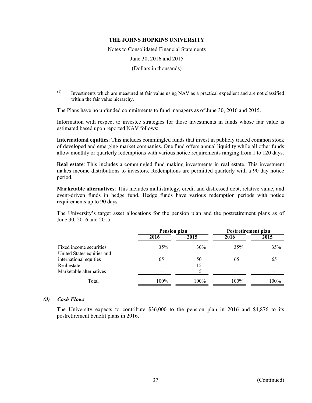Notes to Consolidated Financial Statements

June 30, 2016 and 2015

(Dollars in thousands)

(1) Investments which are measured at fair value using NAV as a practical expedient and are not classified within the fair value hierarchy.

The Plans have no unfunded commitments to fund managers as of June 30, 2016 and 2015.

Information with respect to investee strategies for those investments in funds whose fair value is estimated based upon reported NAV follows:

**International equities**: This includes commingled funds that invest in publicly traded common stock of developed and emerging market companies. One fund offers annual liquidity while all other funds allow monthly or quarterly redemptions with various notice requirements ranging from 1 to 120 days.

**Real estate**: This includes a commingled fund making investments in real estate. This investment makes income distributions to investors. Redemptions are permitted quarterly with a 90 day notice period.

**Marketable alternatives**: This includes multistrategy, credit and distressed debt, relative value, and event-driven funds in hedge fund. Hedge funds have various redemption periods with notice requirements up to 90 days.

The University's target asset allocations for the pension plan and the postretirement plans as of June 30, 2016 and 2015:

|                            | <b>Pension plan</b> |         | Postretirement plan |      |  |
|----------------------------|---------------------|---------|---------------------|------|--|
|                            | 2016                | 2015    | 2016                | 2015 |  |
| Fixed income securities    | 35%                 | 30%     | 35%                 | 35%  |  |
| United States equities and |                     |         |                     |      |  |
| international equities     | 65                  | 50      | 65                  | 65   |  |
| Real estate                |                     | 15      |                     |      |  |
| Marketable alternatives    |                     |         |                     |      |  |
| Total                      | 100%                | $100\%$ | 100%                | 100% |  |

#### *(d) Cash Flows*

The University expects to contribute \$36,000 to the pension plan in 2016 and \$4,876 to its postretirement benefit plans in 2016.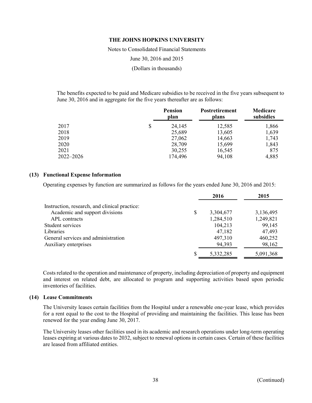Notes to Consolidated Financial Statements

June 30, 2016 and 2015

(Dollars in thousands)

The benefits expected to be paid and Medicare subsidies to be received in the five years subsequent to June 30, 2016 and in aggregate for the five years thereafter are as follows:

|           | <b>Pension</b><br>plan | Postretirement<br>plans | Medicare<br>subsidies |
|-----------|------------------------|-------------------------|-----------------------|
| 2017      | \$<br>24,145           | 12,585                  | 1,866                 |
| 2018      | 25,689                 | 13,605                  | 1,639                 |
| 2019      | 27,062                 | 14,663                  | 1,743                 |
| 2020      | 28,709                 | 15,699                  | 1,843                 |
| 2021      | 30,255                 | 16,545                  | 875                   |
| 2022–2026 | 174,496                | 94,108                  | 4,885                 |

# **(13) Functional Expense Information**

Operating expenses by function are summarized as follows for the years ended June 30, 2016 and 2015:

|                                               | 2016      | 2015      |
|-----------------------------------------------|-----------|-----------|
| Instruction, research, and clinical practice: |           |           |
| Academic and support divisions                | 3,304,677 | 3,136,495 |
| APL contracts                                 | 1,284,510 | 1,249,821 |
| Student services                              | 104,213   | 99,145    |
| Libraries                                     | 47,182    | 47,493    |
| General services and administration           | 497,310   | 460,252   |
| Auxiliary enterprises                         | 94,393    | 98,162    |
|                                               | 5,332,285 | 5,091,368 |

Costs related to the operation and maintenance of property, including depreciation of property and equipment and interest on related debt, are allocated to program and supporting activities based upon periodic inventories of facilities.

# **(14) Lease Commitments**

The University leases certain facilities from the Hospital under a renewable one-year lease, which provides for a rent equal to the cost to the Hospital of providing and maintaining the facilities. This lease has been renewed for the year ending June 30, 2017.

The University leases other facilities used in its academic and research operations under long-term operating leases expiring at various dates to 2032, subject to renewal options in certain cases. Certain of these facilities are leased from affiliated entities.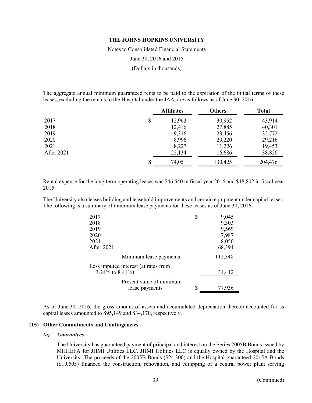Notes to Consolidated Financial Statements

June 30, 2016 and 2015

(Dollars in thousands)

The aggregate annual minimum guaranteed rents to be paid to the expiration of the initial terms of these leases, excluding the rentals to the Hospital under the JAA, are as follows as of June 30, 2016:

|                   | <b>Affiliates</b> | <b>Others</b> | <b>Total</b> |  |
|-------------------|-------------------|---------------|--------------|--|
| 2017              | \$<br>12,962      | 30,952        | 43,914       |  |
| 2018              | 12,416            | 27,885        | 40,301       |  |
| 2019              | 9,316             | 23,456        | 32,772       |  |
| 2020              | 8,996             | 20,220        | 29,216       |  |
| 2021              | 8,227             | 11,226        | 19,453       |  |
| <b>After 2021</b> | 22,134            | 16,686        | 38,820       |  |
|                   | \$<br>74,051      | 130,425       | 204,476      |  |

Rental expense for the long-term operating leases was \$46,540 in fiscal year 2016 and \$48,802 in fiscal year 2015.

The University also leases building and leasehold improvements and certain equipment under capital leases. The following is a summary of minimum lease payments for these leases as of June 30, 2016:

| 2017                                 | \$ | 9,045   |
|--------------------------------------|----|---------|
| 2018                                 |    | 9,303   |
| 2019                                 |    | 9,569   |
| 2020                                 |    | 7,987   |
| 2021                                 |    | 8,050   |
| <b>After 2021</b>                    |    | 68,394  |
| Minimum lease payments               |    | 112,348 |
| Less imputed interest (at rates from |    |         |
| 3.24% to $8.41\%$                    |    | 34,412  |
| Present value of minimum             |    |         |
| lease payments                       | S  | 77,936  |

As of June 30, 2016, the gross amount of assets and accumulated depreciation thereon accounted for as capital leases amounted to \$95,149 and \$34,170, respectively.

#### **(15) Other Commitments and Contingencies**

#### *(a) Guarantees*

The University has guaranteed payment of principal and interest on the Series 2005B Bonds issued by MHHEFA for JHMI Utilities LLC. JHMI Utilities LLC is equally owned by the Hospital and the University. The proceeds of the 2005B Bonds (\$24,300) and the Hospital guaranteed 2015A Bonds (\$19,505) financed the construction, renovation, and equipping of a central power plant serving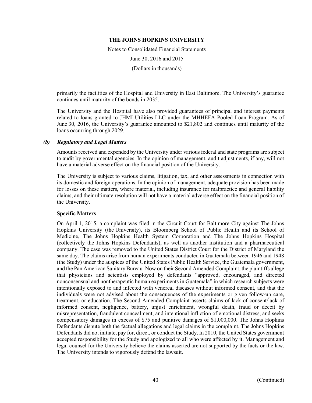Notes to Consolidated Financial Statements June 30, 2016 and 2015 (Dollars in thousands)

primarily the facilities of the Hospital and University in East Baltimore. The University's guarantee continues until maturity of the bonds in 2035.

The University and the Hospital have also provided guarantees of principal and interest payments related to loans granted to JHMI Utilities LLC under the MHHEFA Pooled Loan Program. As of June 30, 2016, the University's guarantee amounted to \$21,802 and continues until maturity of the loans occurring through 2029.

#### *(b) Regulatory and Legal Matters*

Amounts received and expended by the University under various federal and state programs are subject to audit by governmental agencies. In the opinion of management, audit adjustments, if any, will not have a material adverse effect on the financial position of the University.

The University is subject to various claims, litigation, tax, and other assessments in connection with its domestic and foreign operations. In the opinion of management, adequate provision has been made for losses on these matters, where material, including insurance for malpractice and general liability claims, and their ultimate resolution will not have a material adverse effect on the financial position of the University.

# **Specific Matters**

On April 1, 2015, a complaint was filed in the Circuit Court for Baltimore City against The Johns Hopkins University (the University), its Bloomberg School of Public Health and its School of Medicine, The Johns Hopkins Health System Corporation and The Johns Hopkins Hospital (collectively the Johns Hopkins Defendants), as well as another institution and a pharmaceutical company. The case was removed to the United States District Court for the District of Maryland the same day. The claims arise from human experiments conducted in Guatemala between 1946 and 1948 (the Study) under the auspices of the United States Public Health Service, the Guatemala government, and the Pan American Sanitary Bureau. Now on their Second Amended Complaint, the plaintiffs allege that physicians and scientists employed by defendants "approved, encouraged, and directed nonconsensual and nontherapeutic human experiments in Guatemala" in which research subjects were intentionally exposed to and infected with venereal diseases without informed consent, and that the individuals were not advised about the consequences of the experiments or given follow-up care, treatment, or education. The Second Amended Complaint asserts claims of lack of consent/lack of informed consent, negligence, battery, unjust enrichment, wrongful death, fraud or deceit by misrepresentation, fraudulent concealment, and intentional infliction of emotional distress, and seeks compensatory damages in excess of \$75 and punitive damages of \$1,000,000. The Johns Hopkins Defendants dispute both the factual allegations and legal claims in the complaint. The Johns Hopkins Defendants did not initiate, pay for, direct, or conduct the Study. In 2010, the United States government accepted responsibility for the Study and apologized to all who were affected by it. Management and legal counsel for the University believe the claims asserted are not supported by the facts or the law. The University intends to vigorously defend the lawsuit.